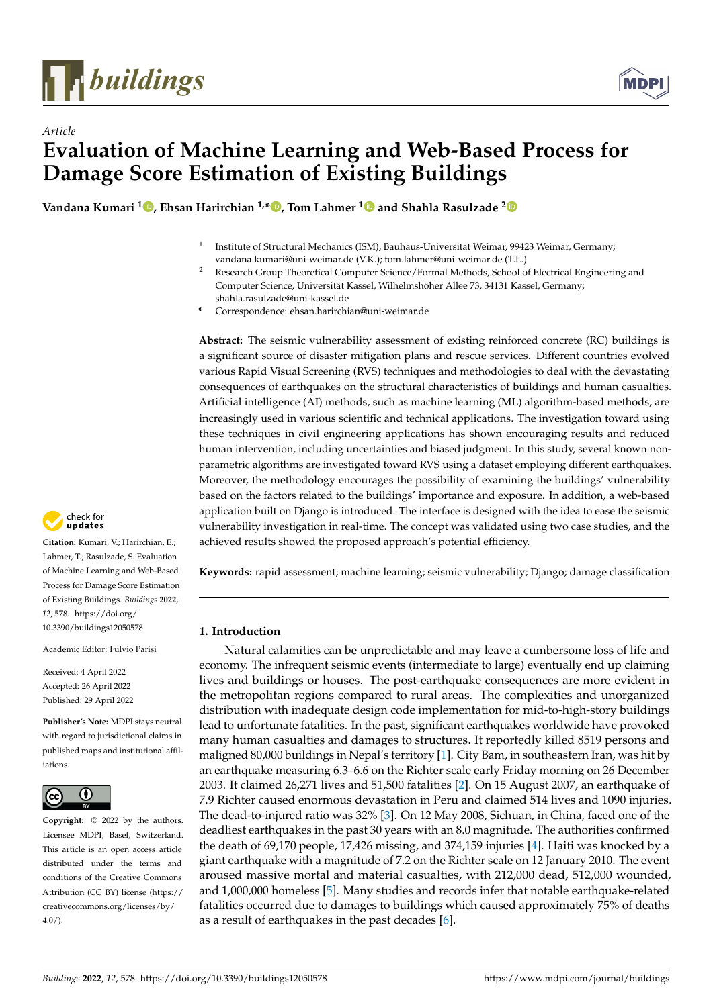

*Article*



# **Evaluation of Machine Learning and Web-Based Process for Damage Score Estimation of Existing Buildings**

**Vandana Kumari [1](https://orcid.org/0000-0001-9668-589X) , Ehsan Harirchian 1,\* [,](https://orcid.org/0000-0003-0113-2120) Tom Lahmer [1](https://orcid.org/0000-0002-1251-7301) and Shahla Rasulzade [2](https://orcid.org/0000-0002-7699-2742)**

- 1 Institute of Structural Mechanics (ISM), Bauhaus-Universität Weimar, 99423 Weimar, Germany; vandana.kumari@uni-weimar.de (V.K.); tom.lahmer@uni-weimar.de (T.L.)
- <sup>2</sup> Research Group Theoretical Computer Science/Formal Methods, School of Electrical Engineering and Computer Science, Universität Kassel, Wilhelmshöher Allee 73, 34131 Kassel, Germany; shahla.rasulzade@uni-kassel.de
- **\*** Correspondence: ehsan.harirchian@uni-weimar.de

**Abstract:** The seismic vulnerability assessment of existing reinforced concrete (RC) buildings is a significant source of disaster mitigation plans and rescue services. Different countries evolved various Rapid Visual Screening (RVS) techniques and methodologies to deal with the devastating consequences of earthquakes on the structural characteristics of buildings and human casualties. Artificial intelligence (AI) methods, such as machine learning (ML) algorithm-based methods, are increasingly used in various scientific and technical applications. The investigation toward using these techniques in civil engineering applications has shown encouraging results and reduced human intervention, including uncertainties and biased judgment. In this study, several known nonparametric algorithms are investigated toward RVS using a dataset employing different earthquakes. Moreover, the methodology encourages the possibility of examining the buildings' vulnerability based on the factors related to the buildings' importance and exposure. In addition, a web-based application built on Django is introduced. The interface is designed with the idea to ease the seismic vulnerability investigation in real-time. The concept was validated using two case studies, and the achieved results showed the proposed approach's potential efficiency.

**Keywords:** rapid assessment; machine learning; seismic vulnerability; Django; damage classification

# **1. Introduction**

Natural calamities can be unpredictable and may leave a cumbersome loss of life and economy. The infrequent seismic events (intermediate to large) eventually end up claiming lives and buildings or houses. The post-earthquake consequences are more evident in the metropolitan regions compared to rural areas. The complexities and unorganized distribution with inadequate design code implementation for mid-to-high-story buildings lead to unfortunate fatalities. In the past, significant earthquakes worldwide have provoked many human casualties and damages to structures. It reportedly killed 8519 persons and maligned 80,000 buildings in Nepal's territory [\[1\]](#page-20-0). City Bam, in southeastern Iran, was hit by an earthquake measuring 6.3–6.6 on the Richter scale early Friday morning on 26 December 2003. It claimed 26,271 lives and 51,500 fatalities [\[2\]](#page-20-1). On 15 August 2007, an earthquake of 7.9 Richter caused enormous devastation in Peru and claimed 514 lives and 1090 injuries. The dead-to-injured ratio was 32% [\[3\]](#page-20-2). On 12 May 2008, Sichuan, in China, faced one of the deadliest earthquakes in the past 30 years with an 8.0 magnitude. The authorities confirmed the death of 69,170 people, 17,426 missing, and 374,159 injuries [\[4\]](#page-20-3). Haiti was knocked by a giant earthquake with a magnitude of 7.2 on the Richter scale on 12 January 2010. The event aroused massive mortal and material casualties, with 212,000 dead, 512,000 wounded, and 1,000,000 homeless [\[5\]](#page-20-4). Many studies and records infer that notable earthquake-related fatalities occurred due to damages to buildings which caused approximately 75% of deaths as a result of earthquakes in the past decades [\[6\]](#page-20-5).



**Citation:** Kumari, V.; Harirchian, E.; Lahmer, T.; Rasulzade, S. Evaluation of Machine Learning and Web-Based Process for Damage Score Estimation of Existing Buildings. *Buildings* **2022**, *12*, 578. [https://doi.org/](https://doi.org/10.3390/buildings12050578) [10.3390/buildings12050578](https://doi.org/10.3390/buildings12050578)

Academic Editor: Fulvio Parisi

Received: 4 April 2022 Accepted: 26 April 2022 Published: 29 April 2022

**Publisher's Note:** MDPI stays neutral with regard to jurisdictional claims in published maps and institutional affiliations.



**Copyright:** © 2022 by the authors. Licensee MDPI, Basel, Switzerland. This article is an open access article distributed under the terms and conditions of the Creative Commons Attribution (CC BY) license [\(https://](https://creativecommons.org/licenses/by/4.0/) [creativecommons.org/licenses/by/](https://creativecommons.org/licenses/by/4.0/)  $4.0/$ ).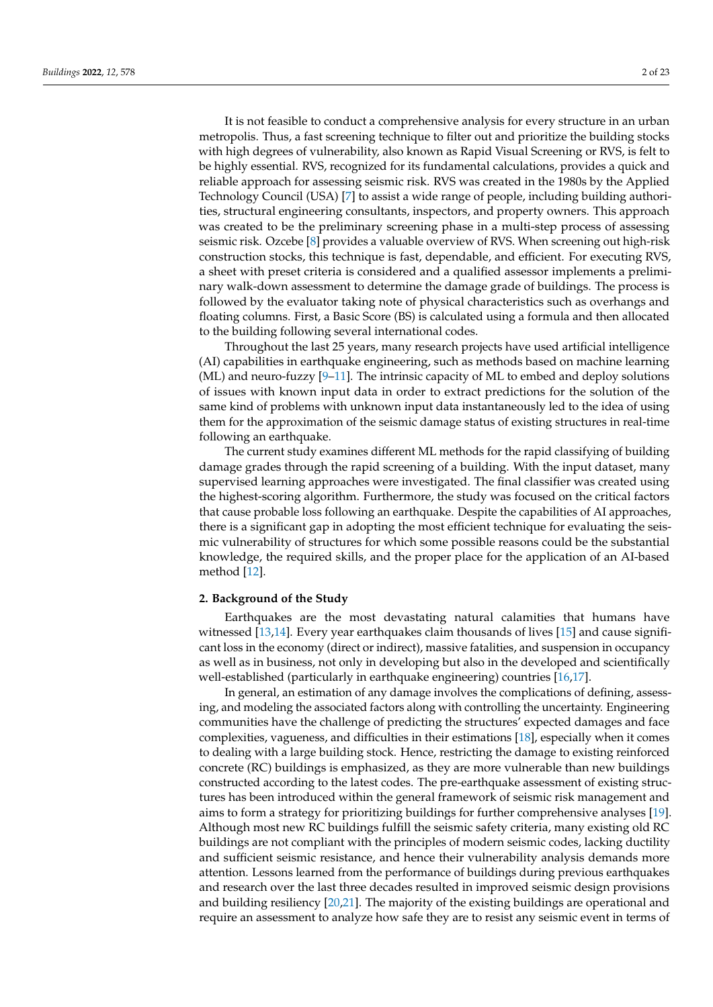It is not feasible to conduct a comprehensive analysis for every structure in an urban metropolis. Thus, a fast screening technique to filter out and prioritize the building stocks with high degrees of vulnerability, also known as Rapid Visual Screening or RVS, is felt to be highly essential. RVS, recognized for its fundamental calculations, provides a quick and reliable approach for assessing seismic risk. RVS was created in the 1980s by the Applied Technology Council (USA) [\[7\]](#page-20-6) to assist a wide range of people, including building authorities, structural engineering consultants, inspectors, and property owners. This approach was created to be the preliminary screening phase in a multi-step process of assessing seismic risk. Ozcebe [\[8\]](#page-20-7) provides a valuable overview of RVS. When screening out high-risk construction stocks, this technique is fast, dependable, and efficient. For executing RVS, a sheet with preset criteria is considered and a qualified assessor implements a preliminary walk-down assessment to determine the damage grade of buildings. The process is followed by the evaluator taking note of physical characteristics such as overhangs and floating columns. First, a Basic Score (BS) is calculated using a formula and then allocated to the building following several international codes.

Throughout the last 25 years, many research projects have used artificial intelligence (AI) capabilities in earthquake engineering, such as methods based on machine learning  $(ML)$  and neuro-fuzzy  $[9-11]$  $[9-11]$ . The intrinsic capacity of ML to embed and deploy solutions of issues with known input data in order to extract predictions for the solution of the same kind of problems with unknown input data instantaneously led to the idea of using them for the approximation of the seismic damage status of existing structures in real-time following an earthquake.

The current study examines different ML methods for the rapid classifying of building damage grades through the rapid screening of a building. With the input dataset, many supervised learning approaches were investigated. The final classifier was created using the highest-scoring algorithm. Furthermore, the study was focused on the critical factors that cause probable loss following an earthquake. Despite the capabilities of AI approaches, there is a significant gap in adopting the most efficient technique for evaluating the seismic vulnerability of structures for which some possible reasons could be the substantial knowledge, the required skills, and the proper place for the application of an AI-based method [\[12\]](#page-20-10).

# **2. Background of the Study**

Earthquakes are the most devastating natural calamities that humans have witnessed [\[13](#page-20-11)[,14\]](#page-20-12). Every year earthquakes claim thousands of lives [\[15\]](#page-20-13) and cause significant loss in the economy (direct or indirect), massive fatalities, and suspension in occupancy as well as in business, not only in developing but also in the developed and scientifically well-established (particularly in earthquake engineering) countries [\[16](#page-20-14)[,17\]](#page-20-15).

In general, an estimation of any damage involves the complications of defining, assessing, and modeling the associated factors along with controlling the uncertainty. Engineering communities have the challenge of predicting the structures' expected damages and face complexities, vagueness, and difficulties in their estimations [\[18\]](#page-20-16), especially when it comes to dealing with a large building stock. Hence, restricting the damage to existing reinforced concrete (RC) buildings is emphasized, as they are more vulnerable than new buildings constructed according to the latest codes. The pre-earthquake assessment of existing structures has been introduced within the general framework of seismic risk management and aims to form a strategy for prioritizing buildings for further comprehensive analyses [\[19\]](#page-20-17). Although most new RC buildings fulfill the seismic safety criteria, many existing old RC buildings are not compliant with the principles of modern seismic codes, lacking ductility and sufficient seismic resistance, and hence their vulnerability analysis demands more attention. Lessons learned from the performance of buildings during previous earthquakes and research over the last three decades resulted in improved seismic design provisions and building resiliency [\[20](#page-20-18)[,21\]](#page-20-19). The majority of the existing buildings are operational and require an assessment to analyze how safe they are to resist any seismic event in terms of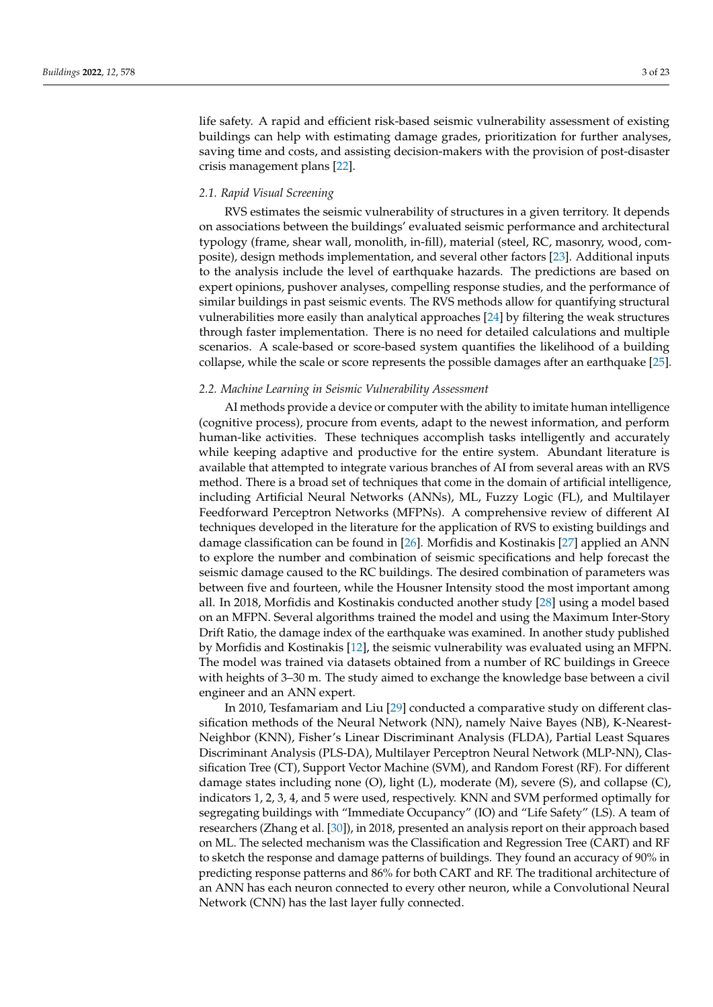life safety. A rapid and efficient risk-based seismic vulnerability assessment of existing buildings can help with estimating damage grades, prioritization for further analyses, saving time and costs, and assisting decision-makers with the provision of post-disaster crisis management plans [\[22\]](#page-20-20).

#### *2.1. Rapid Visual Screening*

RVS estimates the seismic vulnerability of structures in a given territory. It depends on associations between the buildings' evaluated seismic performance and architectural typology (frame, shear wall, monolith, in-fill), material (steel, RC, masonry, wood, composite), design methods implementation, and several other factors [\[23\]](#page-20-21). Additional inputs to the analysis include the level of earthquake hazards. The predictions are based on expert opinions, pushover analyses, compelling response studies, and the performance of similar buildings in past seismic events. The RVS methods allow for quantifying structural vulnerabilities more easily than analytical approaches [\[24\]](#page-20-22) by filtering the weak structures through faster implementation. There is no need for detailed calculations and multiple scenarios. A scale-based or score-based system quantifies the likelihood of a building collapse, while the scale or score represents the possible damages after an earthquake [\[25\]](#page-20-23).

## *2.2. Machine Learning in Seismic Vulnerability Assessment*

AI methods provide a device or computer with the ability to imitate human intelligence (cognitive process), procure from events, adapt to the newest information, and perform human-like activities. These techniques accomplish tasks intelligently and accurately while keeping adaptive and productive for the entire system. Abundant literature is available that attempted to integrate various branches of AI from several areas with an RVS method. There is a broad set of techniques that come in the domain of artificial intelligence, including Artificial Neural Networks (ANNs), ML, Fuzzy Logic (FL), and Multilayer Feedforward Perceptron Networks (MFPNs). A comprehensive review of different AI techniques developed in the literature for the application of RVS to existing buildings and damage classification can be found in [\[26\]](#page-20-24). Morfidis and Kostinakis [\[27\]](#page-21-0) applied an ANN to explore the number and combination of seismic specifications and help forecast the seismic damage caused to the RC buildings. The desired combination of parameters was between five and fourteen, while the Housner Intensity stood the most important among all. In 2018, Morfidis and Kostinakis conducted another study [\[28\]](#page-21-1) using a model based on an MFPN. Several algorithms trained the model and using the Maximum Inter-Story Drift Ratio, the damage index of the earthquake was examined. In another study published by Morfidis and Kostinakis [\[12\]](#page-20-10), the seismic vulnerability was evaluated using an MFPN. The model was trained via datasets obtained from a number of RC buildings in Greece with heights of 3–30 m. The study aimed to exchange the knowledge base between a civil engineer and an ANN expert.

In 2010, Tesfamariam and Liu [\[29\]](#page-21-2) conducted a comparative study on different classification methods of the Neural Network (NN), namely Naive Bayes (NB), K-Nearest-Neighbor (KNN), Fisher's Linear Discriminant Analysis (FLDA), Partial Least Squares Discriminant Analysis (PLS-DA), Multilayer Perceptron Neural Network (MLP-NN), Classification Tree (CT), Support Vector Machine (SVM), and Random Forest (RF). For different damage states including none (O), light (L), moderate (M), severe (S), and collapse (C), indicators 1, 2, 3, 4, and 5 were used, respectively. KNN and SVM performed optimally for segregating buildings with "Immediate Occupancy" (IO) and "Life Safety" (LS). A team of researchers (Zhang et al. [\[30\]](#page-21-3)), in 2018, presented an analysis report on their approach based on ML. The selected mechanism was the Classification and Regression Tree (CART) and RF to sketch the response and damage patterns of buildings. They found an accuracy of 90% in predicting response patterns and 86% for both CART and RF. The traditional architecture of an ANN has each neuron connected to every other neuron, while a Convolutional Neural Network (CNN) has the last layer fully connected.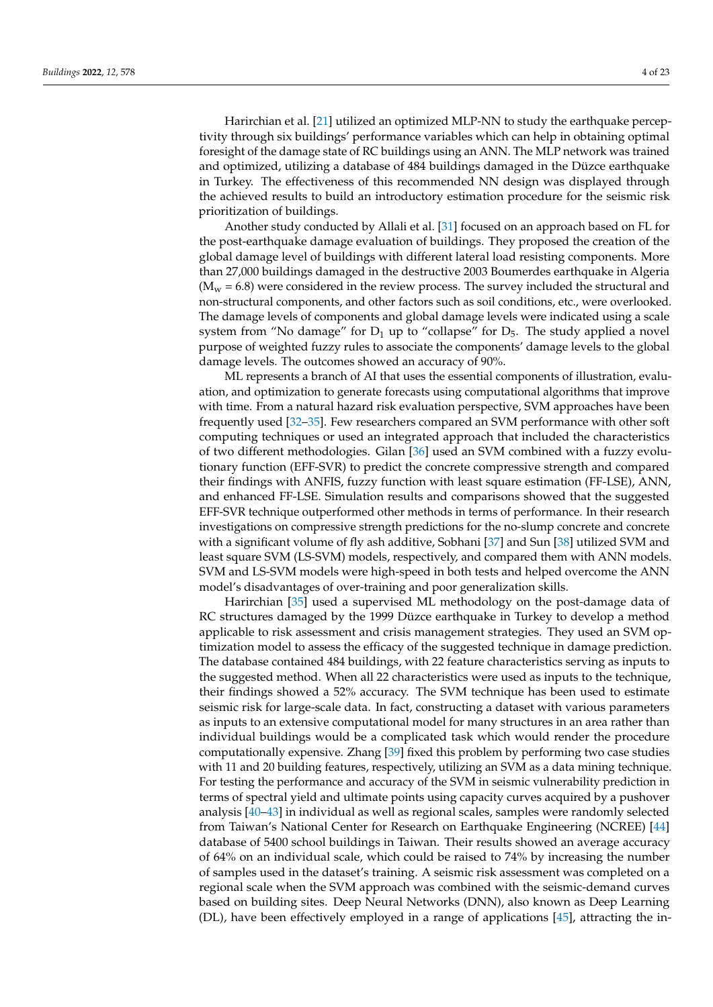Harirchian et al. [\[21\]](#page-20-19) utilized an optimized MLP-NN to study the earthquake perceptivity through six buildings' performance variables which can help in obtaining optimal foresight of the damage state of RC buildings using an ANN. The MLP network was trained and optimized, utilizing a database of 484 buildings damaged in the Düzce earthquake in Turkey. The effectiveness of this recommended NN design was displayed through the achieved results to build an introductory estimation procedure for the seismic risk prioritization of buildings.

Another study conducted by Allali et al. [\[31\]](#page-21-4) focused on an approach based on FL for the post-earthquake damage evaluation of buildings. They proposed the creation of the global damage level of buildings with different lateral load resisting components. More than 27,000 buildings damaged in the destructive 2003 Boumerdes earthquake in Algeria  $(M_w = 6.8)$  were considered in the review process. The survey included the structural and non-structural components, and other factors such as soil conditions, etc., were overlooked. The damage levels of components and global damage levels were indicated using a scale system from "No damage" for  $D_1$  up to "collapse" for  $D_5$ . The study applied a novel purpose of weighted fuzzy rules to associate the components' damage levels to the global damage levels. The outcomes showed an accuracy of 90%.

ML represents a branch of AI that uses the essential components of illustration, evaluation, and optimization to generate forecasts using computational algorithms that improve with time. From a natural hazard risk evaluation perspective, SVM approaches have been frequently used [\[32](#page-21-5)[–35\]](#page-21-6). Few researchers compared an SVM performance with other soft computing techniques or used an integrated approach that included the characteristics of two different methodologies. Gilan [\[36\]](#page-21-7) used an SVM combined with a fuzzy evolutionary function (EFF-SVR) to predict the concrete compressive strength and compared their findings with ANFIS, fuzzy function with least square estimation (FF-LSE), ANN, and enhanced FF-LSE. Simulation results and comparisons showed that the suggested EFF-SVR technique outperformed other methods in terms of performance. In their research investigations on compressive strength predictions for the no-slump concrete and concrete with a significant volume of fly ash additive, Sobhani [\[37\]](#page-21-8) and Sun [\[38\]](#page-21-9) utilized SVM and least square SVM (LS-SVM) models, respectively, and compared them with ANN models. SVM and LS-SVM models were high-speed in both tests and helped overcome the ANN model's disadvantages of over-training and poor generalization skills.

Harirchian [\[35\]](#page-21-6) used a supervised ML methodology on the post-damage data of RC structures damaged by the 1999 Düzce earthquake in Turkey to develop a method applicable to risk assessment and crisis management strategies. They used an SVM optimization model to assess the efficacy of the suggested technique in damage prediction. The database contained 484 buildings, with 22 feature characteristics serving as inputs to the suggested method. When all 22 characteristics were used as inputs to the technique, their findings showed a 52% accuracy. The SVM technique has been used to estimate seismic risk for large-scale data. In fact, constructing a dataset with various parameters as inputs to an extensive computational model for many structures in an area rather than individual buildings would be a complicated task which would render the procedure computationally expensive. Zhang [\[39\]](#page-21-10) fixed this problem by performing two case studies with 11 and 20 building features, respectively, utilizing an SVM as a data mining technique. For testing the performance and accuracy of the SVM in seismic vulnerability prediction in terms of spectral yield and ultimate points using capacity curves acquired by a pushover analysis [\[40–](#page-21-11)[43\]](#page-21-12) in individual as well as regional scales, samples were randomly selected from Taiwan's National Center for Research on Earthquake Engineering (NCREE) [\[44\]](#page-21-13) database of 5400 school buildings in Taiwan. Their results showed an average accuracy of 64% on an individual scale, which could be raised to 74% by increasing the number of samples used in the dataset's training. A seismic risk assessment was completed on a regional scale when the SVM approach was combined with the seismic-demand curves based on building sites. Deep Neural Networks (DNN), also known as Deep Learning (DL), have been effectively employed in a range of applications [\[45\]](#page-21-14), attracting the in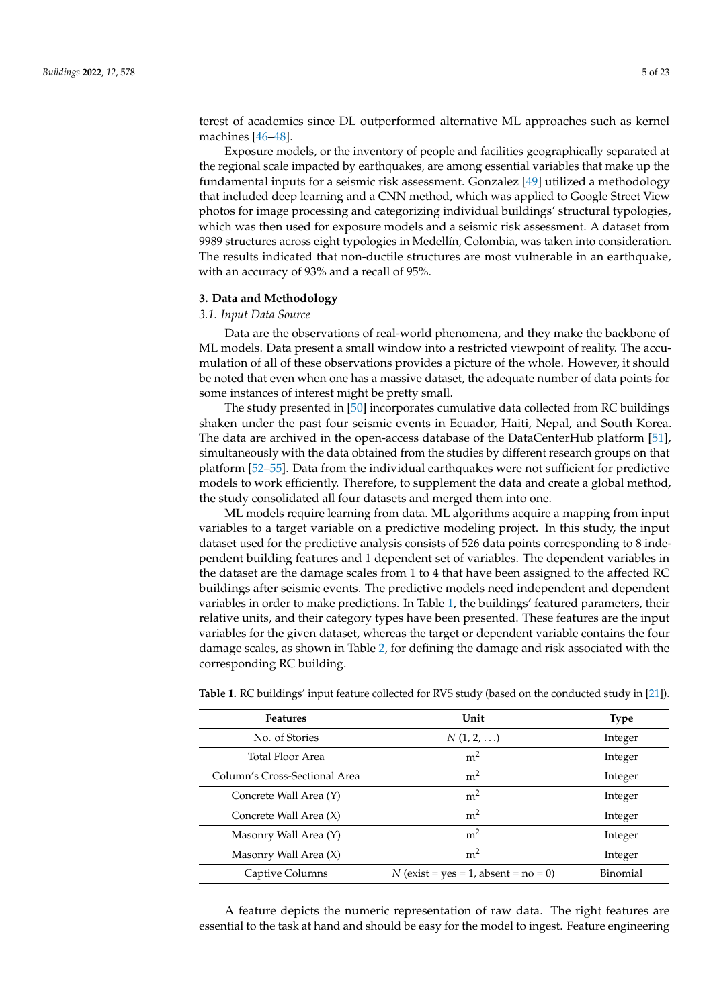terest of academics since DL outperformed alternative ML approaches such as kernel machines [\[46–](#page-21-15)[48\]](#page-21-16).

Exposure models, or the inventory of people and facilities geographically separated at the regional scale impacted by earthquakes, are among essential variables that make up the fundamental inputs for a seismic risk assessment. Gonzalez [\[49\]](#page-21-17) utilized a methodology that included deep learning and a CNN method, which was applied to Google Street View photos for image processing and categorizing individual buildings' structural typologies, which was then used for exposure models and a seismic risk assessment. A dataset from 9989 structures across eight typologies in Medellín, Colombia, was taken into consideration. The results indicated that non-ductile structures are most vulnerable in an earthquake, with an accuracy of 93% and a recall of 95%.

## **3. Data and Methodology**

#### *3.1. Input Data Source*

Data are the observations of real-world phenomena, and they make the backbone of ML models. Data present a small window into a restricted viewpoint of reality. The accumulation of all of these observations provides a picture of the whole. However, it should be noted that even when one has a massive dataset, the adequate number of data points for some instances of interest might be pretty small.

The study presented in [\[50\]](#page-21-18) incorporates cumulative data collected from RC buildings shaken under the past four seismic events in Ecuador, Haiti, Nepal, and South Korea. The data are archived in the open-access database of the DataCenterHub platform [\[51\]](#page-21-19), simultaneously with the data obtained from the studies by different research groups on that platform [\[52](#page-21-20)[–55\]](#page-22-0). Data from the individual earthquakes were not sufficient for predictive models to work efficiently. Therefore, to supplement the data and create a global method, the study consolidated all four datasets and merged them into one.

ML models require learning from data. ML algorithms acquire a mapping from input variables to a target variable on a predictive modeling project. In this study, the input dataset used for the predictive analysis consists of 526 data points corresponding to 8 independent building features and 1 dependent set of variables. The dependent variables in the dataset are the damage scales from 1 to 4 that have been assigned to the affected RC buildings after seismic events. The predictive models need independent and dependent variables in order to make predictions. In Table [1,](#page-4-0) the buildings' featured parameters, their relative units, and their category types have been presented. These features are the input variables for the given dataset, whereas the target or dependent variable contains the four damage scales, as shown in Table [2,](#page-5-0) for defining the damage and risk associated with the corresponding RC building.

| <b>Features</b>               | Unit                                   | <b>Type</b> |
|-------------------------------|----------------------------------------|-------------|
| No. of Stories                | N(1, 2, )                              | Integer     |
| Total Floor Area              | m <sup>2</sup>                         | Integer     |
| Column's Cross-Sectional Area | m <sup>2</sup>                         | Integer     |
| Concrete Wall Area (Y)        | m <sup>2</sup>                         | Integer     |
| Concrete Wall Area (X)        | m <sup>2</sup>                         | Integer     |
| Masonry Wall Area (Y)         | m <sup>2</sup>                         | Integer     |
| Masonry Wall Area (X)         | m <sup>2</sup>                         | Integer     |
| Captive Columns               | $N$ (exist = yes = 1, absent = no = 0) | Binomial    |

<span id="page-4-0"></span>**Table 1.** RC buildings' input feature collected for RVS study (based on the conducted study in [\[21\]](#page-20-19)).

A feature depicts the numeric representation of raw data. The right features are essential to the task at hand and should be easy for the model to ingest. Feature engineering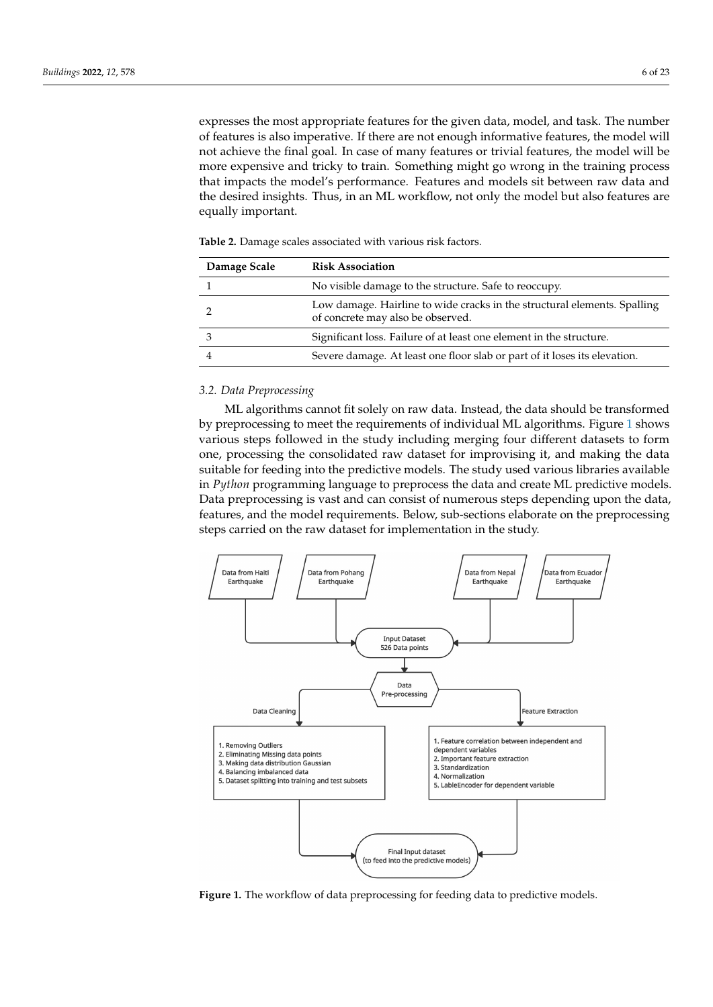expresses the most appropriate features for the given data, model, and task. The number of features is also imperative. If there are not enough informative features, the model will not achieve the final goal. In case of many features or trivial features, the model will be more expensive and tricky to train. Something might go wrong in the training process that impacts the model's performance. Features and models sit between raw data and the desired insights. Thus, in an ML workflow, not only the model but also features are equally important.

| Damage Scale | <b>Risk Association</b>                                                                                       |
|--------------|---------------------------------------------------------------------------------------------------------------|
|              | No visible damage to the structure. Safe to reoccupy.                                                         |
|              | Low damage. Hairline to wide cracks in the structural elements. Spalling<br>of concrete may also be observed. |
|              | Significant loss. Failure of at least one element in the structure.                                           |
|              | Severe damage. At least one floor slab or part of it loses its elevation.                                     |
|              |                                                                                                               |

<span id="page-5-0"></span>**Table 2.** Damage scales associated with various risk factors.

#### *3.2. Data Preprocessing*

ML algorithms cannot fit solely on raw data. Instead, the data should be transformed by preprocessing to meet the requirements of individual ML algorithms. Figure [1](#page-5-1) shows various steps followed in the study including merging four different datasets to form one, processing the consolidated raw dataset for improvising it, and making the data suitable for feeding into the predictive models. The study used various libraries available in *Python* programming language to preprocess the data and create ML predictive models. Data preprocessing is vast and can consist of numerous steps depending upon the data, features, and the model requirements. Below, sub-sections elaborate on the preprocessing steps carried on the raw dataset for implementation in the study.

<span id="page-5-1"></span>

Figure 1. The workflow of data preprocessing for feeding data to predictive models.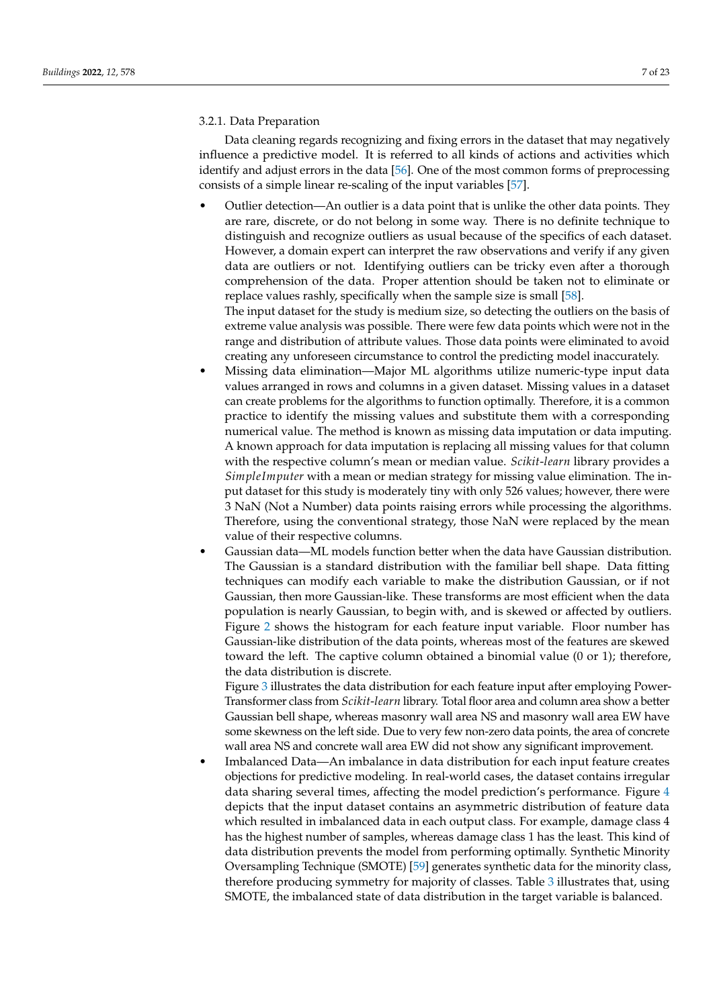Data cleaning regards recognizing and fixing errors in the dataset that may negatively influence a predictive model. It is referred to all kinds of actions and activities which identify and adjust errors in the data [\[56\]](#page-22-1). One of the most common forms of preprocessing consists of a simple linear re-scaling of the input variables [\[57\]](#page-22-2).

• Outlier detection—An outlier is a data point that is unlike the other data points. They are rare, discrete, or do not belong in some way. There is no definite technique to distinguish and recognize outliers as usual because of the specifics of each dataset. However, a domain expert can interpret the raw observations and verify if any given data are outliers or not. Identifying outliers can be tricky even after a thorough comprehension of the data. Proper attention should be taken not to eliminate or replace values rashly, specifically when the sample size is small [\[58\]](#page-22-3).

The input dataset for the study is medium size, so detecting the outliers on the basis of extreme value analysis was possible. There were few data points which were not in the range and distribution of attribute values. Those data points were eliminated to avoid creating any unforeseen circumstance to control the predicting model inaccurately.

- Missing data elimination—Major ML algorithms utilize numeric-type input data values arranged in rows and columns in a given dataset. Missing values in a dataset can create problems for the algorithms to function optimally. Therefore, it is a common practice to identify the missing values and substitute them with a corresponding numerical value. The method is known as missing data imputation or data imputing. A known approach for data imputation is replacing all missing values for that column with the respective column's mean or median value. *Scikit*-*learn* library provides a *SimpleImputer* with a mean or median strategy for missing value elimination. The input dataset for this study is moderately tiny with only 526 values; however, there were 3 NaN (Not a Number) data points raising errors while processing the algorithms. Therefore, using the conventional strategy, those NaN were replaced by the mean value of their respective columns.
- Gaussian data—ML models function better when the data have Gaussian distribution. The Gaussian is a standard distribution with the familiar bell shape. Data fitting techniques can modify each variable to make the distribution Gaussian, or if not Gaussian, then more Gaussian-like. These transforms are most efficient when the data population is nearly Gaussian, to begin with, and is skewed or affected by outliers. Figure [2](#page-7-0) shows the histogram for each feature input variable. Floor number has Gaussian-like distribution of the data points, whereas most of the features are skewed toward the left. The captive column obtained a binomial value (0 or 1); therefore, the data distribution is discrete.

Figure [3](#page-8-0) illustrates the data distribution for each feature input after employing Power-Transformer class from *Scikit*-*learn* library. Total floor area and column area show a better Gaussian bell shape, whereas masonry wall area NS and masonry wall area EW have some skewness on the left side. Due to very few non-zero data points, the area of concrete wall area NS and concrete wall area EW did not show any significant improvement.

Imbalanced Data—An imbalance in data distribution for each input feature creates objections for predictive modeling. In real-world cases, the dataset contains irregular data sharing several times, affecting the model prediction's performance. Figure [4](#page-8-1) depicts that the input dataset contains an asymmetric distribution of feature data which resulted in imbalanced data in each output class. For example, damage class 4 has the highest number of samples, whereas damage class 1 has the least. This kind of data distribution prevents the model from performing optimally. Synthetic Minority Oversampling Technique (SMOTE) [\[59\]](#page-22-4) generates synthetic data for the minority class, therefore producing symmetry for majority of classes. Table [3](#page-9-0) illustrates that, using SMOTE, the imbalanced state of data distribution in the target variable is balanced.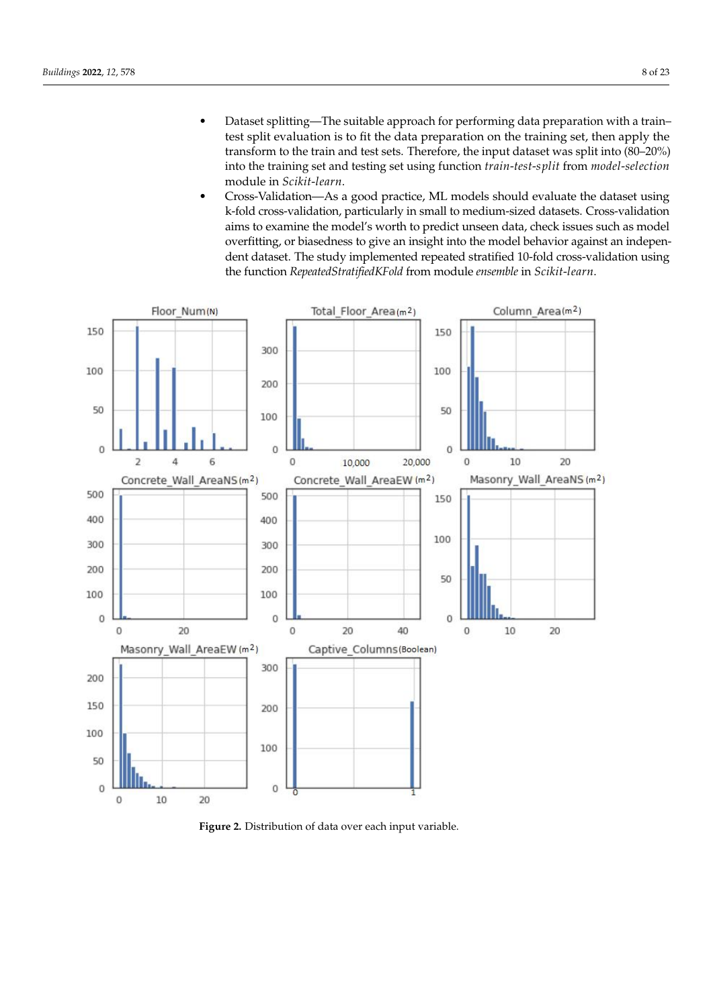- Dataset splitting—The suitable approach for performing data preparation with a train– test split evaluation is to fit the data preparation on the training set, then apply the transform to the train and test sets. Therefore, the input dataset was split into (80–20%) into the training set and testing set using function *train*-*test*-*split* from *model*-*selection* module in *Scikit*-*learn*.
- <span id="page-7-0"></span>• Cross-Validation—As a good practice, ML models should evaluate the dataset using k-fold cross-validation, particularly in small to medium-sized datasets. Cross-validation aims to examine the model's worth to predict unseen data, check issues such as model overfitting, or biasedness to give an insight into the model behavior against an independent dataset. The study implemented repeated stratified 10-fold cross-validation using the function *RepeatedStratifiedKFold* from module *ensemble* in *Scikit*-*learn*.



**Figure 2.** Distribution of data over each input variable.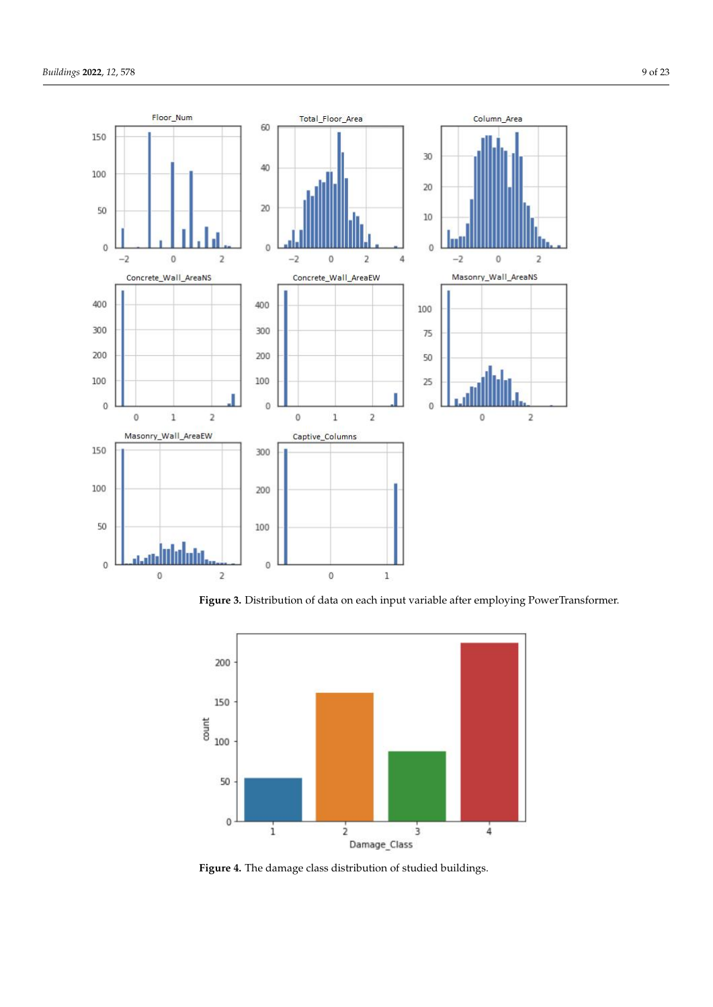<span id="page-8-0"></span>

**Figure 3.** Distribution of data on each input variable after employing PowerTransformer.

<span id="page-8-1"></span>

**Figure 4.** The damage class distribution of studied buildings.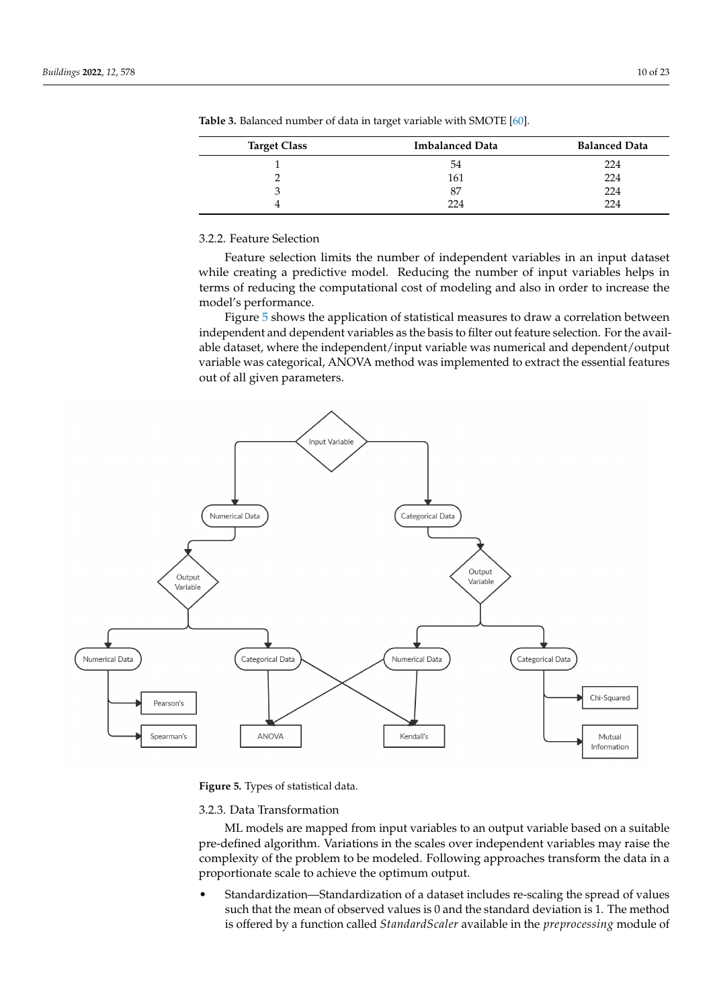| <b>Target Class</b> | <b>Imbalanced Data</b> | <b>Balanced Data</b> |
|---------------------|------------------------|----------------------|
|                     | 54                     | 224                  |
|                     | 161                    | 224                  |
|                     | 87                     | 224                  |
|                     | 224                    | 224                  |

<span id="page-9-0"></span>**Table 3.** Balanced number of data in target variable with SMOTE [\[60\]](#page-22-5).

# 3.2.2. Feature Selection

Feature selection limits the number of independent variables in an input dataset while creating a predictive model. Reducing the number of input variables helps in terms of reducing the computational cost of modeling and also in order to increase the model's performance.

<span id="page-9-1"></span>Figure [5](#page-9-1) shows the application of statistical measures to draw a correlation between independent and dependent variables as the basis to filter out feature selection. For the available dataset, where the independent/input variable was numerical and dependent/output variable was categorical, ANOVA method was implemented to extract the essential features out of all given parameters.



**Figure 5.** Types of statistical data.

# 3.2.3. Data Transformation

ML models are mapped from input variables to an output variable based on a suitable pre-defined algorithm. Variations in the scales over independent variables may raise the complexity of the problem to be modeled. Following approaches transform the data in a proportionate scale to achieve the optimum output.

• Standardization—Standardization of a dataset includes re-scaling the spread of values such that the mean of observed values is 0 and the standard deviation is 1. The method is offered by a function called *StandardScaler* available in the *preprocessing* module of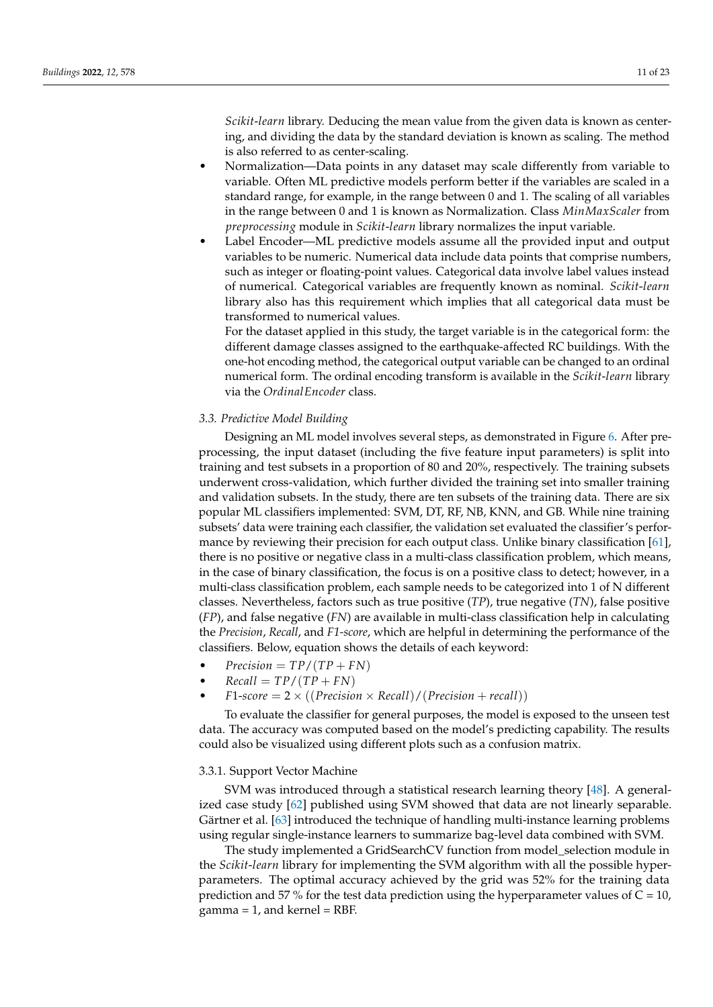*Scikit*-*learn* library. Deducing the mean value from the given data is known as centering, and dividing the data by the standard deviation is known as scaling. The method is also referred to as center-scaling.

- Normalization—Data points in any dataset may scale differently from variable to variable. Often ML predictive models perform better if the variables are scaled in a standard range, for example, in the range between 0 and 1. The scaling of all variables in the range between 0 and 1 is known as Normalization. Class *MinMaxScaler* from *preprocessing* module in *Scikit*-*learn* library normalizes the input variable.
- Label Encoder—ML predictive models assume all the provided input and output variables to be numeric. Numerical data include data points that comprise numbers, such as integer or floating-point values. Categorical data involve label values instead of numerical. Categorical variables are frequently known as nominal. *Scikit*-*learn* library also has this requirement which implies that all categorical data must be transformed to numerical values.

For the dataset applied in this study, the target variable is in the categorical form: the different damage classes assigned to the earthquake-affected RC buildings. With the one-hot encoding method, the categorical output variable can be changed to an ordinal numerical form. The ordinal encoding transform is available in the *Scikit*-*learn* library via the *OrdinalEncoder* class.

## *3.3. Predictive Model Building*

Designing an ML model involves several steps, as demonstrated in Figure [6.](#page-11-0) After preprocessing, the input dataset (including the five feature input parameters) is split into training and test subsets in a proportion of 80 and 20%, respectively. The training subsets underwent cross-validation, which further divided the training set into smaller training and validation subsets. In the study, there are ten subsets of the training data. There are six popular ML classifiers implemented: SVM, DT, RF, NB, KNN, and GB. While nine training subsets' data were training each classifier, the validation set evaluated the classifier's performance by reviewing their precision for each output class. Unlike binary classification [\[61\]](#page-22-6), there is no positive or negative class in a multi-class classification problem, which means, in the case of binary classification, the focus is on a positive class to detect; however, in a multi-class classification problem, each sample needs to be categorized into 1 of N different classes. Nevertheless, factors such as true positive (*TP*), true negative (*TN*), false positive (*FP*), and false negative (*FN*) are available in multi-class classification help in calculating the *Precision*, *Recall*, and *F1-score*, which are helpful in determining the performance of the classifiers. Below, equation shows the details of each keyword:

- $Precision = TP/(TP + FN)$
- $Recall = TP/(TP + FN)$
- $F1-score = 2 \times ((Precision \times Recall)/(Precision + recall))$

To evaluate the classifier for general purposes, the model is exposed to the unseen test data. The accuracy was computed based on the model's predicting capability. The results could also be visualized using different plots such as a confusion matrix.

# 3.3.1. Support Vector Machine

SVM was introduced through a statistical research learning theory [\[48\]](#page-21-16). A generalized case study [\[62\]](#page-22-7) published using SVM showed that data are not linearly separable. Gärtner et al. [\[63\]](#page-22-8) introduced the technique of handling multi-instance learning problems using regular single-instance learners to summarize bag-level data combined with SVM.

The study implemented a GridSearchCV function from model\_selection module in the *Scikit*-*learn* library for implementing the SVM algorithm with all the possible hyperparameters. The optimal accuracy achieved by the grid was 52% for the training data prediction and 57 % for the test data prediction using the hyperparameter values of  $C = 10$ ,  $gamma = 1$ , and kernel = RBF.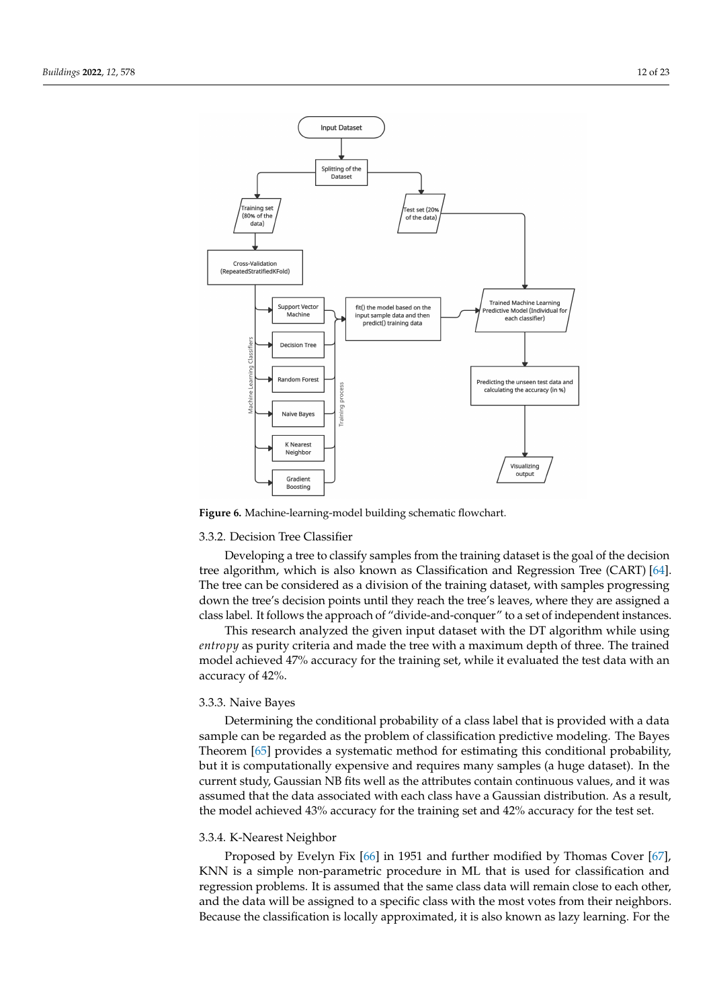<span id="page-11-0"></span>

**Figure 6.** Machine-learning-model building schematic flowchart.

## 3.3.2. Decision Tree Classifier

Developing a tree to classify samples from the training dataset is the goal of the decision tree algorithm, which is also known as Classification and Regression Tree (CART) [\[64\]](#page-22-9). The tree can be considered as a division of the training dataset, with samples progressing down the tree's decision points until they reach the tree's leaves, where they are assigned a class label. It follows the approach of "divide-and-conquer" to a set of independent instances.

This research analyzed the given input dataset with the DT algorithm while using *entropy* as purity criteria and made the tree with a maximum depth of three. The trained model achieved 47% accuracy for the training set, while it evaluated the test data with an accuracy of 42%.

#### 3.3.3. Naive Bayes

Determining the conditional probability of a class label that is provided with a data sample can be regarded as the problem of classification predictive modeling. The Bayes Theorem [\[65\]](#page-22-10) provides a systematic method for estimating this conditional probability, but it is computationally expensive and requires many samples (a huge dataset). In the current study, Gaussian NB fits well as the attributes contain continuous values, and it was assumed that the data associated with each class have a Gaussian distribution. As a result, the model achieved 43% accuracy for the training set and 42% accuracy for the test set.

#### 3.3.4. K-Nearest Neighbor

Proposed by Evelyn Fix [\[66\]](#page-22-11) in 1951 and further modified by Thomas Cover [\[67\]](#page-22-12), KNN is a simple non-parametric procedure in ML that is used for classification and regression problems. It is assumed that the same class data will remain close to each other, and the data will be assigned to a specific class with the most votes from their neighbors. Because the classification is locally approximated, it is also known as lazy learning. For the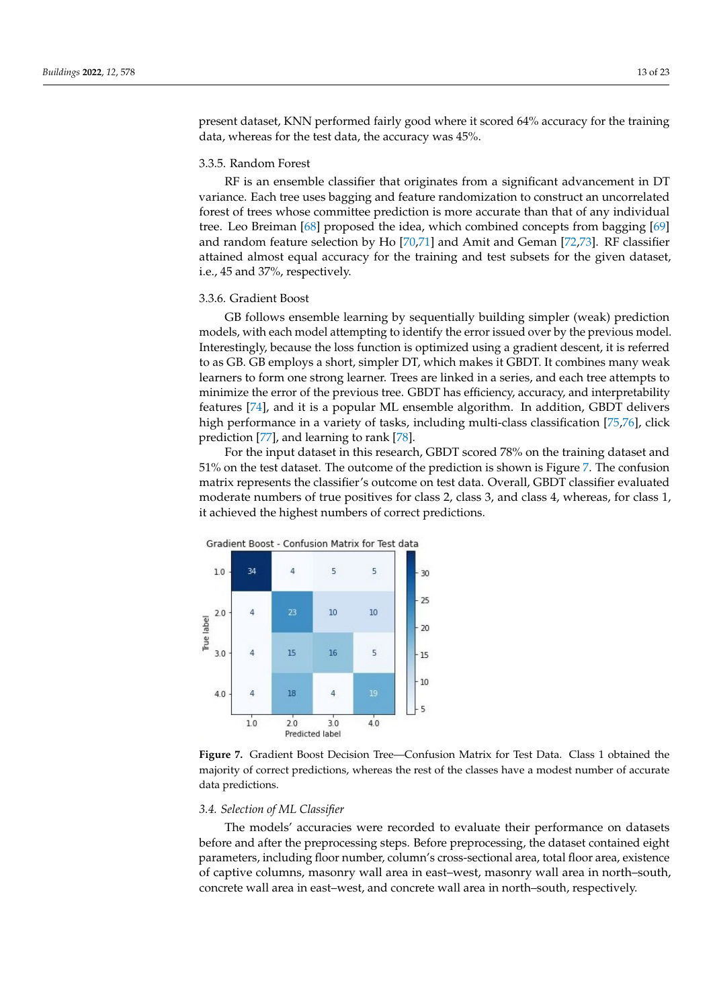present dataset, KNN performed fairly good where it scored 64% accuracy for the training data, whereas for the test data, the accuracy was 45%.

#### 3.3.5. Random Forest

RF is an ensemble classifier that originates from a significant advancement in DT variance. Each tree uses bagging and feature randomization to construct an uncorrelated forest of trees whose committee prediction is more accurate than that of any individual tree. Leo Breiman [\[68\]](#page-22-13) proposed the idea, which combined concepts from bagging [\[69\]](#page-22-14) and random feature selection by Ho [\[70,](#page-22-15)[71\]](#page-22-16) and Amit and Geman [\[72,](#page-22-17)[73\]](#page-22-18). RF classifier attained almost equal accuracy for the training and test subsets for the given dataset, i.e., 45 and 37%, respectively.

#### 3.3.6. Gradient Boost

GB follows ensemble learning by sequentially building simpler (weak) prediction models, with each model attempting to identify the error issued over by the previous model. Interestingly, because the loss function is optimized using a gradient descent, it is referred to as GB. GB employs a short, simpler DT, which makes it GBDT. It combines many weak learners to form one strong learner. Trees are linked in a series, and each tree attempts to minimize the error of the previous tree. GBDT has efficiency, accuracy, and interpretability features [\[74\]](#page-22-19), and it is a popular ML ensemble algorithm. In addition, GBDT delivers high performance in a variety of tasks, including multi-class classification [\[75](#page-22-20)[,76\]](#page-22-21), click prediction [\[77\]](#page-22-22), and learning to rank [\[78\]](#page-22-23).

For the input dataset in this research, GBDT scored 78% on the training dataset and 51% on the test dataset. The outcome of the prediction is shown is Figure [7.](#page-12-0) The confusion matrix represents the classifier's outcome on test data. Overall, GBDT classifier evaluated moderate numbers of true positives for class 2, class 3, and class 4, whereas, for class 1, it achieved the highest numbers of correct predictions.

<span id="page-12-0"></span>



## *3.4. Selection of ML Classifier*

The models' accuracies were recorded to evaluate their performance on datasets before and after the preprocessing steps. Before preprocessing, the dataset contained eight parameters, including floor number, column's cross-sectional area, total floor area, existence of captive columns, masonry wall area in east–west, masonry wall area in north–south, concrete wall area in east–west, and concrete wall area in north–south, respectively.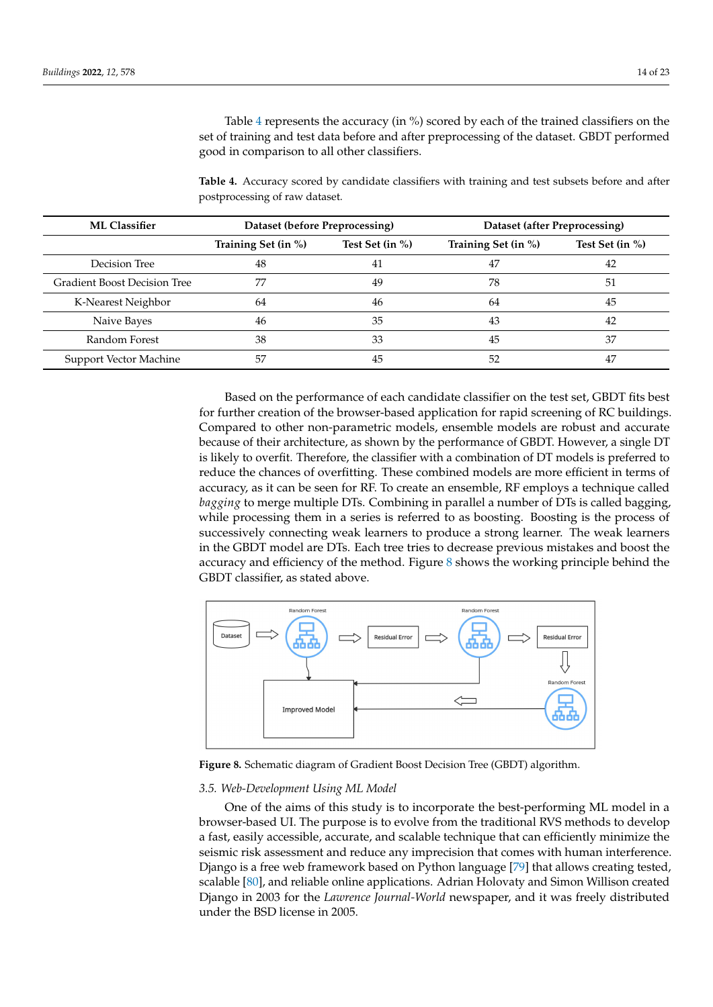Table [4](#page-13-0) represents the accuracy (in %) scored by each of the trained classifiers on the set of training and test data before and after preprocessing of the dataset. GBDT performed good in comparison to all other classifiers.

<span id="page-13-0"></span>**Table 4.** Accuracy scored by candidate classifiers with training and test subsets before and after postprocessing of raw dataset.

| <b>ML Classifier</b>         | Dataset (before Preprocessing) |                   | Dataset (after Preprocessing) |                 |
|------------------------------|--------------------------------|-------------------|-------------------------------|-----------------|
|                              | Training Set (in %)            | Test Set $(in %)$ | Training Set (in %)           | Test Set (in %) |
| Decision Tree                | 48                             | 41                | 47                            | 42              |
| Gradient Boost Decision Tree | 77                             | 49                | 78                            | 51              |
| K-Nearest Neighbor           | 64                             | 46                | 64                            | 45              |
| Naive Bayes                  | 46                             | 35                | 43                            | 42              |
| Random Forest                | 38                             | 33                | 45                            | 37              |
| Support Vector Machine       | 57                             | 45                | 52                            | 47              |

Based on the performance of each candidate classifier on the test set, GBDT fits best for further creation of the browser-based application for rapid screening of RC buildings. Compared to other non-parametric models, ensemble models are robust and accurate because of their architecture, as shown by the performance of GBDT. However, a single DT is likely to overfit. Therefore, the classifier with a combination of DT models is preferred to reduce the chances of overfitting. These combined models are more efficient in terms of accuracy, as it can be seen for RF. To create an ensemble, RF employs a technique called *bagging* to merge multiple DTs. Combining in parallel a number of DTs is called bagging, while processing them in a series is referred to as boosting. Boosting is the process of successively connecting weak learners to produce a strong learner. The weak learners in the GBDT model are DTs. Each tree tries to decrease previous mistakes and boost the accuracy and efficiency of the method. Figure [8](#page-13-1) shows the working principle behind the GBDT classifier, as stated above.

<span id="page-13-1"></span>

**Figure 8.** Schematic diagram of Gradient Boost Decision Tree (GBDT) algorithm.

#### *3.5. Web-Development Using ML Model*

One of the aims of this study is to incorporate the best-performing ML model in a browser-based UI. The purpose is to evolve from the traditional RVS methods to develop a fast, easily accessible, accurate, and scalable technique that can efficiently minimize the seismic risk assessment and reduce any imprecision that comes with human interference. Django is a free web framework based on Python language [\[79\]](#page-22-24) that allows creating tested, scalable [\[80\]](#page-22-25), and reliable online applications. Adrian Holovaty and Simon Willison created Django in 2003 for the *Lawrence Journal-World* newspaper, and it was freely distributed under the BSD license in 2005.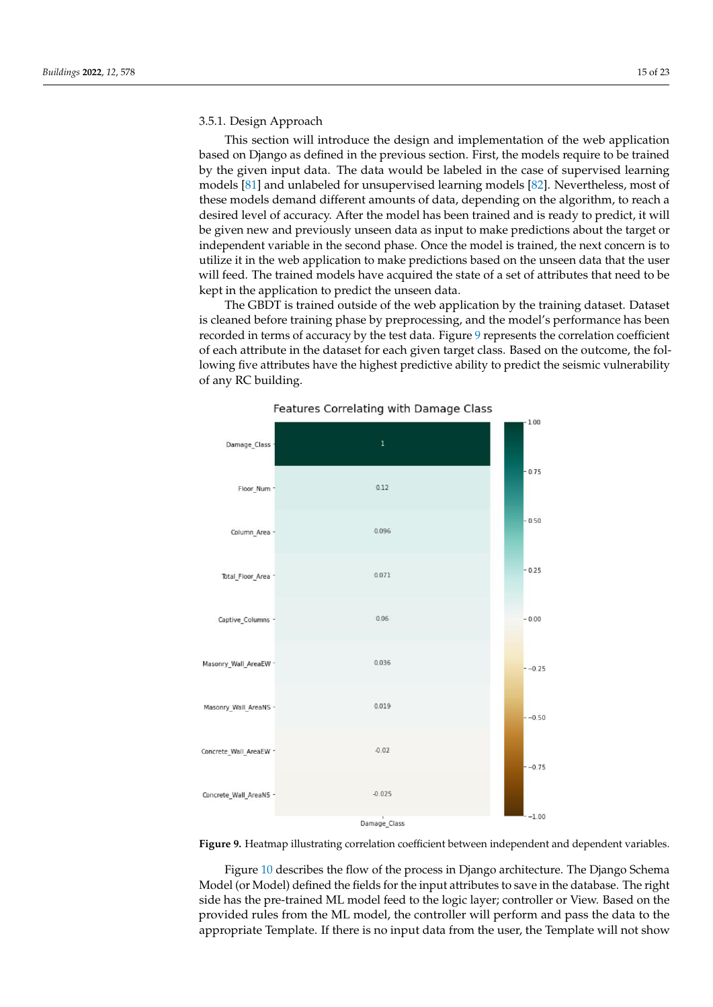#### 3.5.1. Design Approach

This section will introduce the design and implementation of the web application based on Django as defined in the previous section. First, the models require to be trained by the given input data. The data would be labeled in the case of supervised learning models [\[81\]](#page-22-26) and unlabeled for unsupervised learning models [\[82\]](#page-22-27). Nevertheless, most of these models demand different amounts of data, depending on the algorithm, to reach a desired level of accuracy. After the model has been trained and is ready to predict, it will be given new and previously unseen data as input to make predictions about the target or independent variable in the second phase. Once the model is trained, the next concern is to utilize it in the web application to make predictions based on the unseen data that the user will feed. The trained models have acquired the state of a set of attributes that need to be kept in the application to predict the unseen data.

The GBDT is trained outside of the web application by the training dataset. Dataset is cleaned before training phase by preprocessing, and the model's performance has been recorded in terms of accuracy by the test data. Figure [9](#page-14-0) represents the correlation coefficient of each attribute in the dataset for each given target class. Based on the outcome, the following five attributes have the highest predictive ability to predict the seismic vulnerability of any RC building.

<span id="page-14-0"></span>

Features Correlating with Damage Class

**Figure 9.** Heatmap illustrating correlation coefficient between independent and dependent variables.

Figure [10](#page-15-0) describes the flow of the process in Django architecture. The Django Schema Model (or Model) defined the fields for the input attributes to save in the database. The right side has the pre-trained ML model feed to the logic layer; controller or View. Based on the provided rules from the ML model, the controller will perform and pass the data to the appropriate Template. If there is no input data from the user, the Template will not show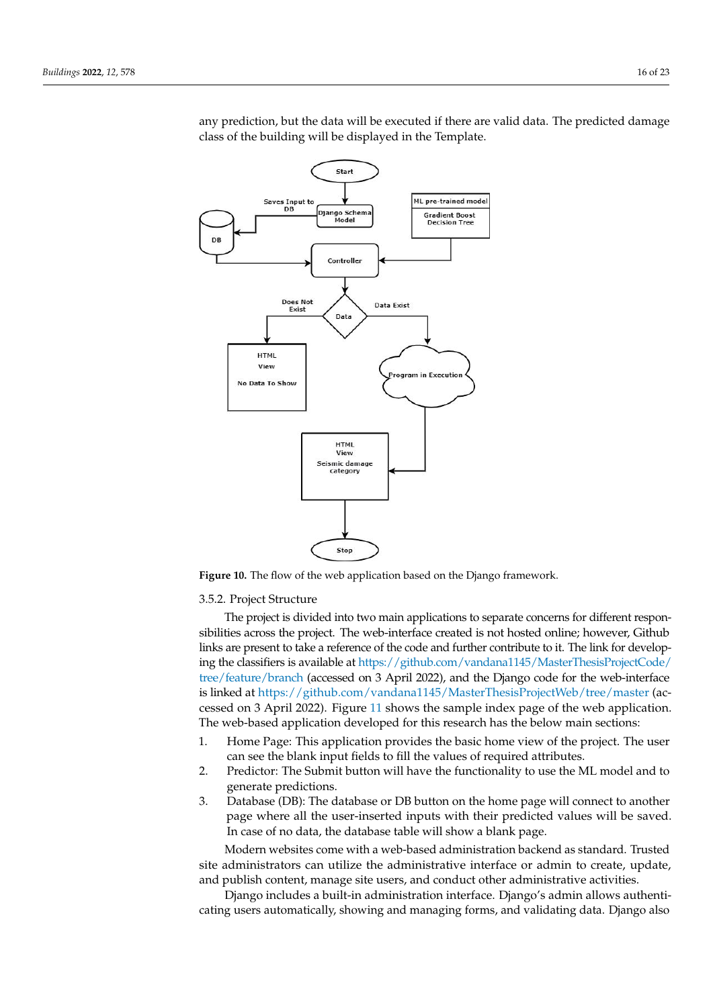<span id="page-15-0"></span>

any prediction, but the data will be executed if there are valid data. The predicted damage class of the building will be displayed in the Template.

**Figure 10.** The flow of the web application based on the Django framework.

#### 3.5.2. Project Structure

The project is divided into two main applications to separate concerns for different responsibilities across the project. The web-interface created is not hosted online; however, Github links are present to take a reference of the code and further contribute to it. The link for developing the classifiers is available at [https://github.com/vandana1145/MasterThesisProjectCode/](https://github.com/vandana1145/MasterThesisProjectCode/tree/feature/branch) [tree/feature/branch](https://github.com/vandana1145/MasterThesisProjectCode/tree/feature/branch) (accessed on 3 April 2022), and the Django code for the web-interface is linked at <https://github.com/vandana1145/MasterThesisProjectWeb/tree/master> (accessed on 3 April 2022). Figure [11](#page-16-0) shows the sample index page of the web application. The web-based application developed for this research has the below main sections:

- 1. Home Page: This application provides the basic home view of the project. The user can see the blank input fields to fill the values of required attributes.
- 2. Predictor: The Submit button will have the functionality to use the ML model and to generate predictions.
- 3. Database (DB): The database or DB button on the home page will connect to another page where all the user-inserted inputs with their predicted values will be saved. In case of no data, the database table will show a blank page.

Modern websites come with a web-based administration backend as standard. Trusted site administrators can utilize the administrative interface or admin to create, update, and publish content, manage site users, and conduct other administrative activities.

Django includes a built-in administration interface. Django's admin allows authenticating users automatically, showing and managing forms, and validating data. Django also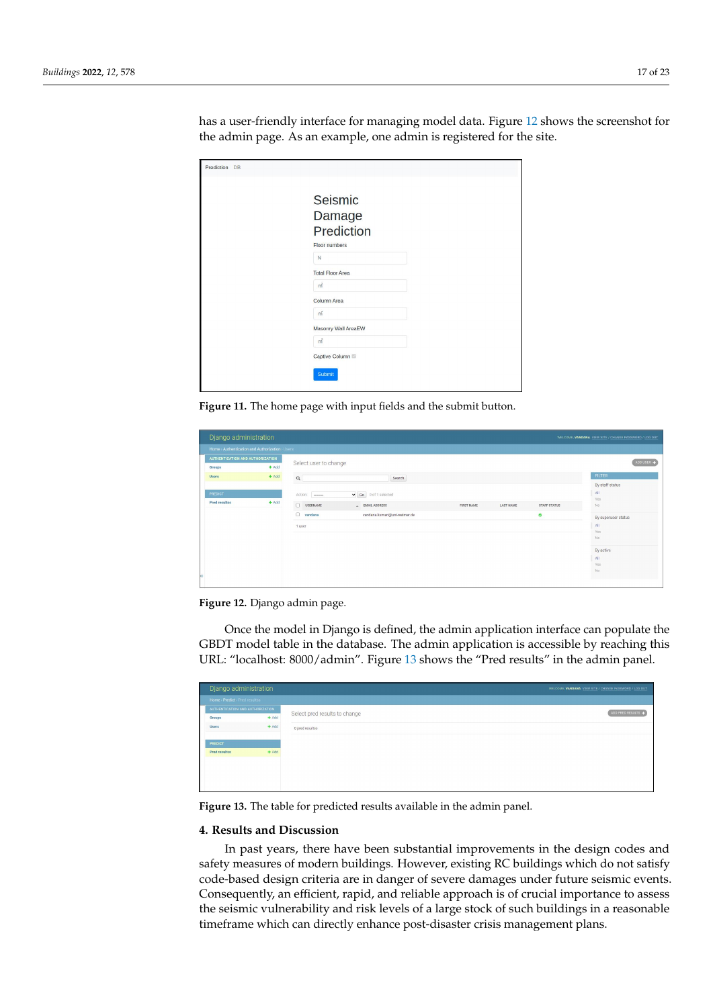has a user-friendly interface for managing model data. Figure [12](#page-16-1) shows the screenshot for the admin page. As an example, one admin is registered for the site.

<span id="page-16-0"></span>

| Prediction DB |                                                         |
|---------------|---------------------------------------------------------|
|               | Seismic<br>Damage<br>Prediction<br><b>Floor numbers</b> |
|               | $\mathbb N$                                             |
|               | <b>Total Floor Area</b>                                 |
|               | $m^2$                                                   |
|               | Column Area                                             |
|               | $m^2$                                                   |
|               | <b>Masonry Wall AreaEW</b>                              |
|               | $m^2$                                                   |
|               | Captive Column                                          |
|               | Submit                                                  |

**Figure 11.** The home page with input fields and the submit button.

<span id="page-16-1"></span>

| Django administration                           |         |                       |                              |                   |                  |              | WELCOME, VANDANA, VIEW SITE / CHANGE PASSWORD / LOG OUT |
|-------------------------------------------------|---------|-----------------------|------------------------------|-------------------|------------------|--------------|---------------------------------------------------------|
| Home > Authentication and Authorization > Users |         |                       |                              |                   |                  |              |                                                         |
| AUTHENTICATION AND AUTHORIZATION                |         | Select user to change |                              |                   |                  |              | $ADD USER +$                                            |
| Groups                                          | $+$ Add |                       |                              |                   |                  |              |                                                         |
| <b>Users</b>                                    | $+Add$  | $\mathsf Q$           | Search                       |                   |                  |              | <b>FILTER</b>                                           |
|                                                 |         |                       |                              |                   |                  |              | By staff status                                         |
| PREDICT                                         |         | Action:<br>--------   | v Go 0 of 1 selected         |                   |                  |              | All<br>Yes                                              |
| <b>Pred resultss</b>                            | $+$ Add | $\Box$<br>USERNAME    | EMAIL ADDRESS                | <b>FIRST NAME</b> | <b>LAST NAME</b> | STAFF STATUS | No.                                                     |
|                                                 |         | $\Box$<br>vandana     | vandana.kumari@uni-weimar.de |                   |                  | $\bullet$    | By superuser status                                     |
|                                                 |         | 1 user                |                              |                   |                  |              | All                                                     |
|                                                 |         |                       |                              |                   |                  |              | Yes<br>No                                               |
|                                                 |         |                       |                              |                   |                  |              | By active                                               |
|                                                 |         |                       |                              |                   |                  |              | All                                                     |
|                                                 |         |                       |                              |                   |                  |              | Yes                                                     |
|                                                 |         |                       |                              |                   |                  |              | No                                                      |
|                                                 |         |                       |                              |                   |                  |              |                                                         |

**Figure 12.** Django admin page.

Once the model in Django is defined, the admin application interface can populate the GBDT model table in the database. The admin application is accessible by reaching this URL: "localhost: 8000/admin". Figure [13](#page-16-2) shows the "Pred results" in the admin panel.

<span id="page-16-2"></span>

| Django administration            |         |                               | WELCOME, VANDANA, VIEW SITE / CHANGE PASSWORD / LOG OUT |
|----------------------------------|---------|-------------------------------|---------------------------------------------------------|
| Home > Predict > Pred resultss   |         |                               |                                                         |
| AUTHENTICATION AND AUTHORIZATION |         | Select pred results to change | ADD PRED RESULTS +                                      |
| Groups                           | $+$ Add |                               |                                                         |
| <b>Users</b>                     | $+$ Add | 0 pred resultss               |                                                         |
|                                  |         |                               |                                                         |
| <b>PREDICT</b>                   |         |                               |                                                         |
| <b>Pred resultss</b>             | $+$ Add |                               |                                                         |
|                                  |         |                               |                                                         |
|                                  |         |                               |                                                         |
|                                  |         |                               |                                                         |
|                                  |         |                               |                                                         |

**Figure 13.** The table for predicted results available in the admin panel.

# **4. Results and Discussion**

In past years, there have been substantial improvements in the design codes and safety measures of modern buildings. However, existing RC buildings which do not satisfy code-based design criteria are in danger of severe damages under future seismic events. Consequently, an efficient, rapid, and reliable approach is of crucial importance to assess the seismic vulnerability and risk levels of a large stock of such buildings in a reasonable timeframe which can directly enhance post-disaster crisis management plans.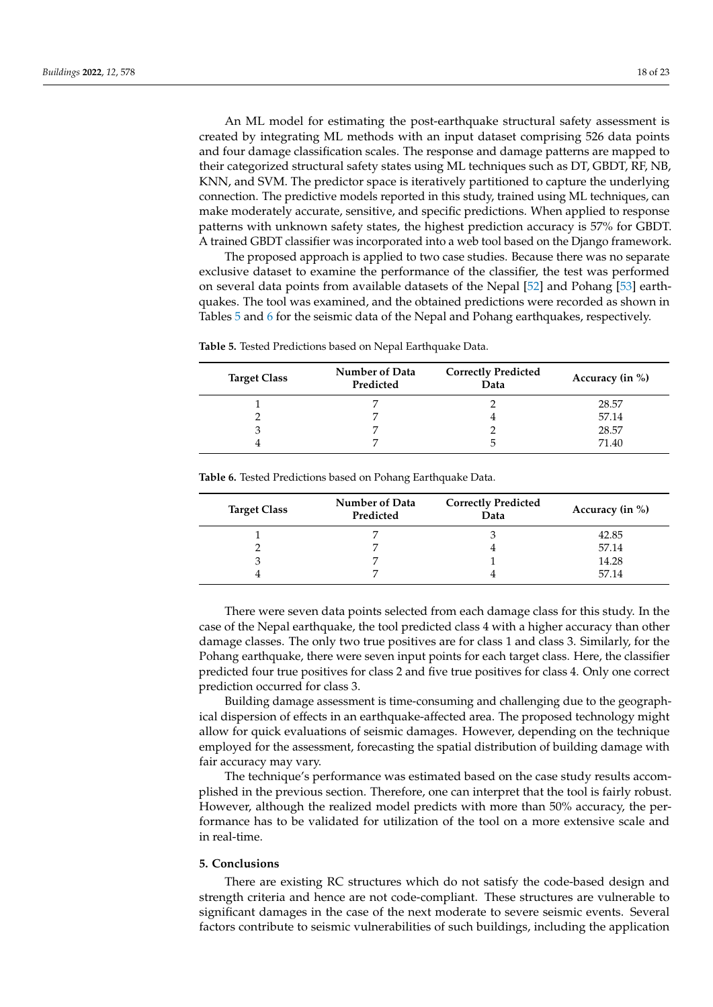An ML model for estimating the post-earthquake structural safety assessment is created by integrating ML methods with an input dataset comprising 526 data points and four damage classification scales. The response and damage patterns are mapped to their categorized structural safety states using ML techniques such as DT, GBDT, RF, NB, KNN, and SVM. The predictor space is iteratively partitioned to capture the underlying connection. The predictive models reported in this study, trained using ML techniques, can make moderately accurate, sensitive, and specific predictions. When applied to response patterns with unknown safety states, the highest prediction accuracy is 57% for GBDT. A trained GBDT classifier was incorporated into a web tool based on the Django framework.

The proposed approach is applied to two case studies. Because there was no separate exclusive dataset to examine the performance of the classifier, the test was performed on several data points from available datasets of the Nepal [\[52\]](#page-21-20) and Pohang [\[53\]](#page-21-21) earthquakes. The tool was examined, and the obtained predictions were recorded as shown in Tables [5](#page-17-0) and [6](#page-17-1) for the seismic data of the Nepal and Pohang earthquakes, respectively.

<span id="page-17-0"></span>**Table 5.** Tested Predictions based on Nepal Earthquake Data.

| <b>Target Class</b> | Number of Data<br>Predicted | <b>Correctly Predicted</b><br>Data | Accuracy (in $\%$ ) |
|---------------------|-----------------------------|------------------------------------|---------------------|
|                     |                             |                                    | 28.57               |
|                     |                             |                                    | 57.14               |
|                     |                             |                                    | 28.57               |
|                     |                             |                                    | 71.40               |

<span id="page-17-1"></span>**Table 6.** Tested Predictions based on Pohang Earthquake Data.

| <b>Target Class</b> | Number of Data<br>Predicted | <b>Correctly Predicted</b><br>Data | Accuracy (in $\%$ ) |
|---------------------|-----------------------------|------------------------------------|---------------------|
|                     |                             |                                    | 42.85               |
|                     |                             |                                    | 57.14               |
|                     |                             |                                    | 14.28               |
|                     |                             |                                    | 57.14               |

There were seven data points selected from each damage class for this study. In the case of the Nepal earthquake, the tool predicted class 4 with a higher accuracy than other damage classes. The only two true positives are for class 1 and class 3. Similarly, for the Pohang earthquake, there were seven input points for each target class. Here, the classifier predicted four true positives for class 2 and five true positives for class 4. Only one correct prediction occurred for class 3.

Building damage assessment is time-consuming and challenging due to the geographical dispersion of effects in an earthquake-affected area. The proposed technology might allow for quick evaluations of seismic damages. However, depending on the technique employed for the assessment, forecasting the spatial distribution of building damage with fair accuracy may vary.

The technique's performance was estimated based on the case study results accomplished in the previous section. Therefore, one can interpret that the tool is fairly robust. However, although the realized model predicts with more than 50% accuracy, the performance has to be validated for utilization of the tool on a more extensive scale and in real-time.

## **5. Conclusions**

There are existing RC structures which do not satisfy the code-based design and strength criteria and hence are not code-compliant. These structures are vulnerable to significant damages in the case of the next moderate to severe seismic events. Several factors contribute to seismic vulnerabilities of such buildings, including the application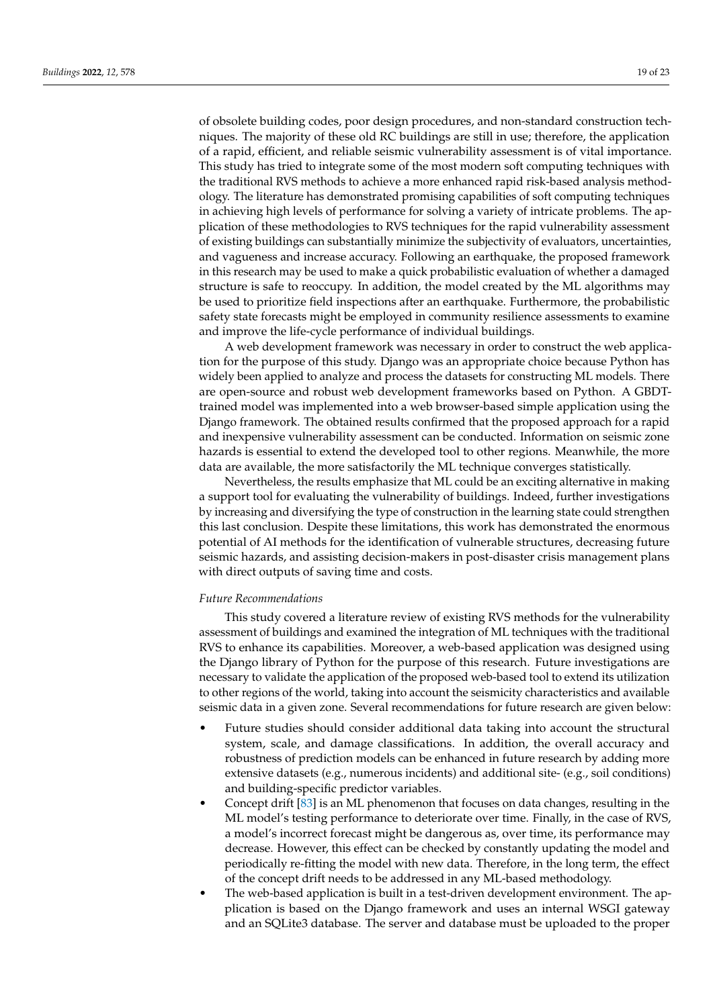of obsolete building codes, poor design procedures, and non-standard construction techniques. The majority of these old RC buildings are still in use; therefore, the application of a rapid, efficient, and reliable seismic vulnerability assessment is of vital importance. This study has tried to integrate some of the most modern soft computing techniques with the traditional RVS methods to achieve a more enhanced rapid risk-based analysis methodology. The literature has demonstrated promising capabilities of soft computing techniques in achieving high levels of performance for solving a variety of intricate problems. The application of these methodologies to RVS techniques for the rapid vulnerability assessment of existing buildings can substantially minimize the subjectivity of evaluators, uncertainties, and vagueness and increase accuracy. Following an earthquake, the proposed framework in this research may be used to make a quick probabilistic evaluation of whether a damaged structure is safe to reoccupy. In addition, the model created by the ML algorithms may be used to prioritize field inspections after an earthquake. Furthermore, the probabilistic safety state forecasts might be employed in community resilience assessments to examine and improve the life-cycle performance of individual buildings.

A web development framework was necessary in order to construct the web application for the purpose of this study. Django was an appropriate choice because Python has widely been applied to analyze and process the datasets for constructing ML models. There are open-source and robust web development frameworks based on Python. A GBDTtrained model was implemented into a web browser-based simple application using the Django framework. The obtained results confirmed that the proposed approach for a rapid and inexpensive vulnerability assessment can be conducted. Information on seismic zone hazards is essential to extend the developed tool to other regions. Meanwhile, the more data are available, the more satisfactorily the ML technique converges statistically.

Nevertheless, the results emphasize that ML could be an exciting alternative in making a support tool for evaluating the vulnerability of buildings. Indeed, further investigations by increasing and diversifying the type of construction in the learning state could strengthen this last conclusion. Despite these limitations, this work has demonstrated the enormous potential of AI methods for the identification of vulnerable structures, decreasing future seismic hazards, and assisting decision-makers in post-disaster crisis management plans with direct outputs of saving time and costs.

# *Future Recommendations*

This study covered a literature review of existing RVS methods for the vulnerability assessment of buildings and examined the integration of ML techniques with the traditional RVS to enhance its capabilities. Moreover, a web-based application was designed using the Django library of Python for the purpose of this research. Future investigations are necessary to validate the application of the proposed web-based tool to extend its utilization to other regions of the world, taking into account the seismicity characteristics and available seismic data in a given zone. Several recommendations for future research are given below:

- Future studies should consider additional data taking into account the structural system, scale, and damage classifications. In addition, the overall accuracy and robustness of prediction models can be enhanced in future research by adding more extensive datasets (e.g., numerous incidents) and additional site- (e.g., soil conditions) and building-specific predictor variables.
- Concept drift [\[83\]](#page-22-28) is an ML phenomenon that focuses on data changes, resulting in the ML model's testing performance to deteriorate over time. Finally, in the case of RVS, a model's incorrect forecast might be dangerous as, over time, its performance may decrease. However, this effect can be checked by constantly updating the model and periodically re-fitting the model with new data. Therefore, in the long term, the effect of the concept drift needs to be addressed in any ML-based methodology.
- The web-based application is built in a test-driven development environment. The application is based on the Django framework and uses an internal WSGI gateway and an SQLite3 database. The server and database must be uploaded to the proper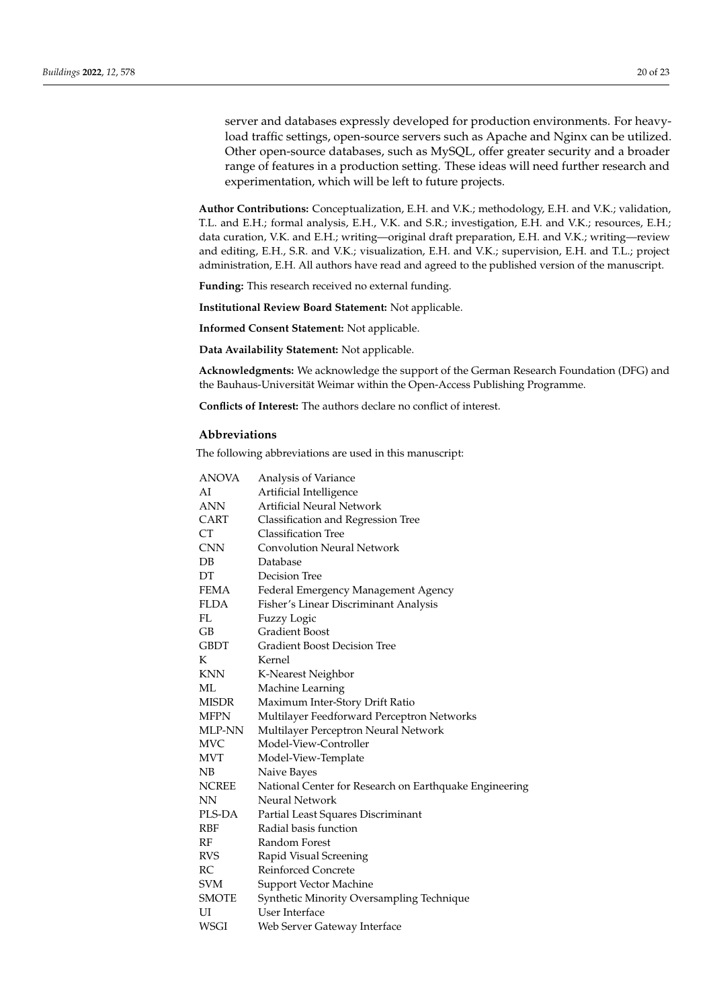server and databases expressly developed for production environments. For heavyload traffic settings, open-source servers such as Apache and Nginx can be utilized. Other open-source databases, such as MySQL, offer greater security and a broader range of features in a production setting. These ideas will need further research and experimentation, which will be left to future projects.

**Author Contributions:** Conceptualization, E.H. and V.K.; methodology, E.H. and V.K.; validation, T.L. and E.H.; formal analysis, E.H., V.K. and S.R.; investigation, E.H. and V.K.; resources, E.H.; data curation, V.K. and E.H.; writing—original draft preparation, E.H. and V.K.; writing—review and editing, E.H., S.R. and V.K.; visualization, E.H. and V.K.; supervision, E.H. and T.L.; project administration, E.H. All authors have read and agreed to the published version of the manuscript.

**Funding:** This research received no external funding.

**Institutional Review Board Statement:** Not applicable.

**Informed Consent Statement:** Not applicable.

**Data Availability Statement:** Not applicable.

**Acknowledgments:** We acknowledge the support of the German Research Foundation (DFG) and the Bauhaus-Universität Weimar within the Open-Access Publishing Programme.

**Conflicts of Interest:** The authors declare no conflict of interest.

#### **Abbreviations**

The following abbreviations are used in this manuscript:

| <b>ANOVA</b> | Analysis of Variance                                   |
|--------------|--------------------------------------------------------|
| AI           | Artificial Intelligence                                |
| <b>ANN</b>   | <b>Artificial Neural Network</b>                       |
| <b>CART</b>  | Classification and Regression Tree                     |
| <b>CT</b>    | <b>Classification Tree</b>                             |
| <b>CNN</b>   | <b>Convolution Neural Network</b>                      |
| $DB$         | Database                                               |
| DT           | Decision Tree                                          |
| <b>FEMA</b>  | Federal Emergency Management Agency                    |
| <b>FLDA</b>  | Fisher's Linear Discriminant Analysis                  |
| FL           | Fuzzy Logic                                            |
| GB           | <b>Gradient Boost</b>                                  |
| <b>GBDT</b>  | <b>Gradient Boost Decision Tree</b>                    |
| K            | Kernel                                                 |
| <b>KNN</b>   | K-Nearest Neighbor                                     |
| ML           | Machine Learning                                       |
| <b>MISDR</b> | Maximum Inter-Story Drift Ratio                        |
| <b>MFPN</b>  | Multilayer Feedforward Perceptron Networks             |
| MLP-NN       | Multilayer Perceptron Neural Network                   |
| <b>MVC</b>   | Model-View-Controller                                  |
| <b>MVT</b>   | Model-View-Template                                    |
| NB           | Naive Bayes                                            |
| <b>NCREE</b> | National Center for Research on Earthquake Engineering |
| <b>NN</b>    | Neural Network                                         |
| PLS-DA       | Partial Least Squares Discriminant                     |
| <b>RBF</b>   | Radial basis function                                  |
| RF           | Random Forest                                          |
| <b>RVS</b>   | Rapid Visual Screening                                 |
| RC           | <b>Reinforced Concrete</b>                             |
| <b>SVM</b>   | <b>Support Vector Machine</b>                          |
| <b>SMOTE</b> | Synthetic Minority Oversampling Technique              |
| UI           | User Interface                                         |
| WSGI         | Web Server Gateway Interface                           |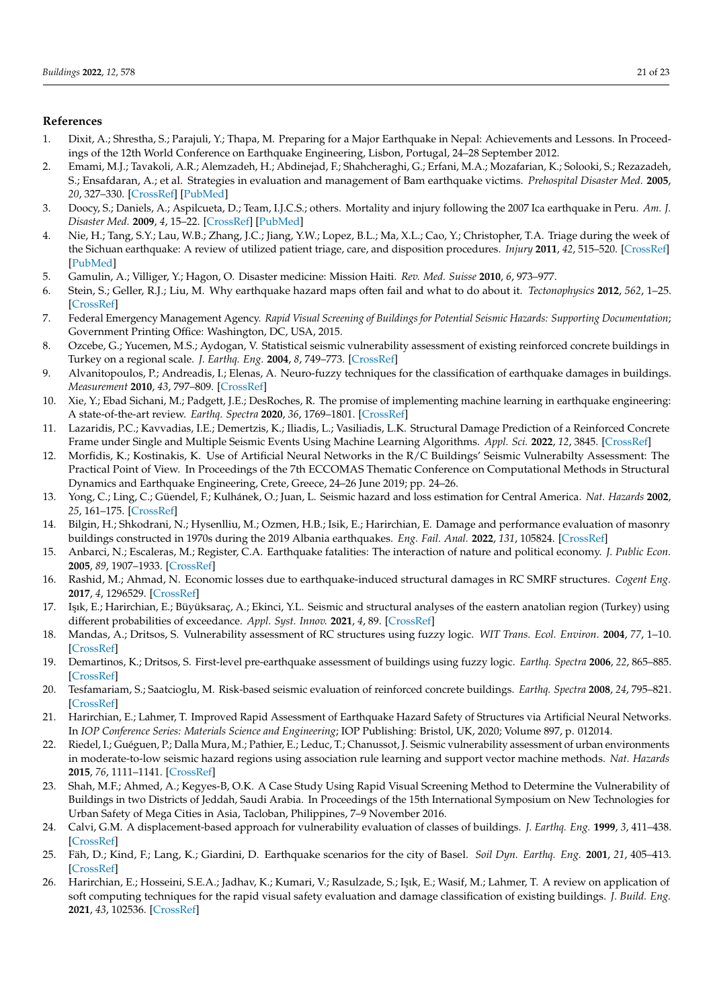# **References**

- <span id="page-20-0"></span>1. Dixit, A.; Shrestha, S.; Parajuli, Y.; Thapa, M. Preparing for a Major Earthquake in Nepal: Achievements and Lessons. In Proceedings of the 12th World Conference on Earthquake Engineering, Lisbon, Portugal, 24–28 September 2012.
- <span id="page-20-1"></span>2. Emami, M.J.; Tavakoli, A.R.; Alemzadeh, H.; Abdinejad, F.; Shahcheraghi, G.; Erfani, M.A.; Mozafarian, K.; Solooki, S.; Rezazadeh, S.; Ensafdaran, A.; et al. Strategies in evaluation and management of Bam earthquake victims. *Prehospital Disaster Med.* **2005**, *20*, 327–330. [\[CrossRef\]](http://doi.org/10.1017/S1049023X0000279X) [\[PubMed\]](http://www.ncbi.nlm.nih.gov/pubmed/16295170)
- <span id="page-20-2"></span>3. Doocy, S.; Daniels, A.; Aspilcueta, D.; Team, I.J.C.S.; others. Mortality and injury following the 2007 Ica earthquake in Peru. *Am. J. Disaster Med.* **2009**, *4*, 15–22. [\[CrossRef\]](http://dx.doi.org/10.5055/ajdm.2009.0003) [\[PubMed\]](http://www.ncbi.nlm.nih.gov/pubmed/19378665)
- <span id="page-20-3"></span>4. Nie, H.; Tang, S.Y.; Lau, W.B.; Zhang, J.C.; Jiang, Y.W.; Lopez, B.L.; Ma, X.L.; Cao, Y.; Christopher, T.A. Triage during the week of the Sichuan earthquake: A review of utilized patient triage, care, and disposition procedures. *Injury* **2011**, *42*, 515–520. [\[CrossRef\]](http://dx.doi.org/10.1016/j.injury.2010.01.113) [\[PubMed\]](http://www.ncbi.nlm.nih.gov/pubmed/20153857)
- <span id="page-20-4"></span>5. Gamulin, A.; Villiger, Y.; Hagon, O. Disaster medicine: Mission Haiti. *Rev. Med. Suisse* **2010**, *6*, 973–977.
- <span id="page-20-5"></span>6. Stein, S.; Geller, R.J.; Liu, M. Why earthquake hazard maps often fail and what to do about it. *Tectonophysics* **2012**, *562*, 1–25. [\[CrossRef\]](http://dx.doi.org/10.1016/j.tecto.2012.06.047)
- <span id="page-20-6"></span>7. Federal Emergency Management Agency. *Rapid Visual Screening of Buildings for Potential Seismic Hazards: Supporting Documentation*; Government Printing Office: Washington, DC, USA, 2015.
- <span id="page-20-7"></span>8. Ozcebe, G.; Yucemen, M.S.; Aydogan, V. Statistical seismic vulnerability assessment of existing reinforced concrete buildings in Turkey on a regional scale. *J. Earthq. Eng.* **2004**, *8*, 749–773. [\[CrossRef\]](http://dx.doi.org/10.1080/13632460409350508)
- <span id="page-20-8"></span>9. Alvanitopoulos, P.; Andreadis, I.; Elenas, A. Neuro-fuzzy techniques for the classification of earthquake damages in buildings. *Measurement* **2010**, *43*, 797–809. [\[CrossRef\]](http://dx.doi.org/10.1016/j.measurement.2010.02.011)
- 10. Xie, Y.; Ebad Sichani, M.; Padgett, J.E.; DesRoches, R. The promise of implementing machine learning in earthquake engineering: A state-of-the-art review. *Earthq. Spectra* **2020**, *36*, 1769–1801. [\[CrossRef\]](http://dx.doi.org/10.1177/8755293020919419)
- <span id="page-20-9"></span>11. Lazaridis, P.C.; Kavvadias, I.E.; Demertzis, K.; Iliadis, L.; Vasiliadis, L.K. Structural Damage Prediction of a Reinforced Concrete Frame under Single and Multiple Seismic Events Using Machine Learning Algorithms. *Appl. Sci.* **2022**, *12*, 3845. [\[CrossRef\]](http://dx.doi.org/10.3390/app12083845)
- <span id="page-20-10"></span>12. Morfidis, K.; Kostinakis, K. Use of Artificial Neural Networks in the R/C Buildings' Seismic Vulnerabilty Assessment: The Practical Point of View. In Proceedings of the 7th ECCOMAS Thematic Conference on Computational Methods in Structural Dynamics and Earthquake Engineering, Crete, Greece, 24–26 June 2019; pp. 24–26.
- <span id="page-20-11"></span>13. Yong, C.; Ling, C.; Güendel, F.; Kulhánek, O.; Juan, L. Seismic hazard and loss estimation for Central America. *Nat. Hazards* **2002**, *25*, 161–175. [\[CrossRef\]](http://dx.doi.org/10.1023/A:1013722926563)
- <span id="page-20-12"></span>14. Bilgin, H.; Shkodrani, N.; Hysenlliu, M.; Ozmen, H.B.; Isik, E.; Harirchian, E. Damage and performance evaluation of masonry buildings constructed in 1970s during the 2019 Albania earthquakes. *Eng. Fail. Anal.* **2022**, *131*, 105824. [\[CrossRef\]](http://dx.doi.org/10.1016/j.engfailanal.2021.105824)
- <span id="page-20-13"></span>15. Anbarci, N.; Escaleras, M.; Register, C.A. Earthquake fatalities: The interaction of nature and political economy. *J. Public Econ.* **2005**, *89*, 1907–1933. [\[CrossRef\]](http://dx.doi.org/10.1016/j.jpubeco.2004.08.002)
- <span id="page-20-14"></span>16. Rashid, M.; Ahmad, N. Economic losses due to earthquake-induced structural damages in RC SMRF structures. *Cogent Eng.* **2017**, *4*, 1296529. [\[CrossRef\]](http://dx.doi.org/10.1080/23311916.2017.1296529)
- <span id="page-20-15"></span>17. Işık, E.; Harirchian, E.; Büyüksaraç, A.; Ekinci, Y.L. Seismic and structural analyses of the eastern anatolian region (Turkey) using different probabilities of exceedance. *Appl. Syst. Innov.* **2021**, *4*, 89. [\[CrossRef\]](http://dx.doi.org/10.3390/asi4040089)
- <span id="page-20-16"></span>18. Mandas, A.; Dritsos, S. Vulnerability assessment of RC structures using fuzzy logic. *WIT Trans. Ecol. Environ.* **2004**, *77*, 1–10. [\[CrossRef\]](http://dx.doi.org/10.2495/RISK040061)
- <span id="page-20-17"></span>19. Demartinos, K.; Dritsos, S. First-level pre-earthquake assessment of buildings using fuzzy logic. *Earthq. Spectra* **2006**, *22*, 865–885. [\[CrossRef\]](http://dx.doi.org/10.1193/1.2358176)
- <span id="page-20-18"></span>20. Tesfamariam, S.; Saatcioglu, M. Risk-based seismic evaluation of reinforced concrete buildings. *Earthq. Spectra* **2008**, *24*, 795–821. [\[CrossRef\]](http://dx.doi.org/10.1193/1.2952767)
- <span id="page-20-19"></span>21. Harirchian, E.; Lahmer, T. Improved Rapid Assessment of Earthquake Hazard Safety of Structures via Artificial Neural Networks. In *IOP Conference Series: Materials Science and Engineering*; IOP Publishing: Bristol, UK, 2020; Volume 897, p. 012014.
- <span id="page-20-20"></span>22. Riedel, I.; Guéguen, P.; Dalla Mura, M.; Pathier, E.; Leduc, T.; Chanussot, J. Seismic vulnerability assessment of urban environments in moderate-to-low seismic hazard regions using association rule learning and support vector machine methods. *Nat. Hazards* **2015**, *76*, 1111–1141. [\[CrossRef\]](http://dx.doi.org/10.1007/s11069-014-1538-0)
- <span id="page-20-21"></span>23. Shah, M.F.; Ahmed, A.; Kegyes-B, O.K. A Case Study Using Rapid Visual Screening Method to Determine the Vulnerability of Buildings in two Districts of Jeddah, Saudi Arabia. In Proceedings of the 15th International Symposium on New Technologies for Urban Safety of Mega Cities in Asia, Tacloban, Philippines, 7–9 November 2016.
- <span id="page-20-22"></span>24. Calvi, G.M. A displacement-based approach for vulnerability evaluation of classes of buildings. *J. Earthq. Eng.* **1999**, *3*, 411–438. [\[CrossRef\]](http://dx.doi.org/10.1080/13632469909350353)
- <span id="page-20-23"></span>25. Fäh, D.; Kind, F.; Lang, K.; Giardini, D. Earthquake scenarios for the city of Basel. *Soil Dyn. Earthq. Eng.* **2001**, *21*, 405–413. [\[CrossRef\]](http://dx.doi.org/10.1016/S0267-7261(01)00023-9)
- <span id="page-20-24"></span>26. Harirchian, E.; Hosseini, S.E.A.; Jadhav, K.; Kumari, V.; Rasulzade, S.; Işık, E.; Wasif, M.; Lahmer, T. A review on application of soft computing techniques for the rapid visual safety evaluation and damage classification of existing buildings. *J. Build. Eng.* **2021**, *43*, 102536. [\[CrossRef\]](http://dx.doi.org/10.1016/j.jobe.2021.102536)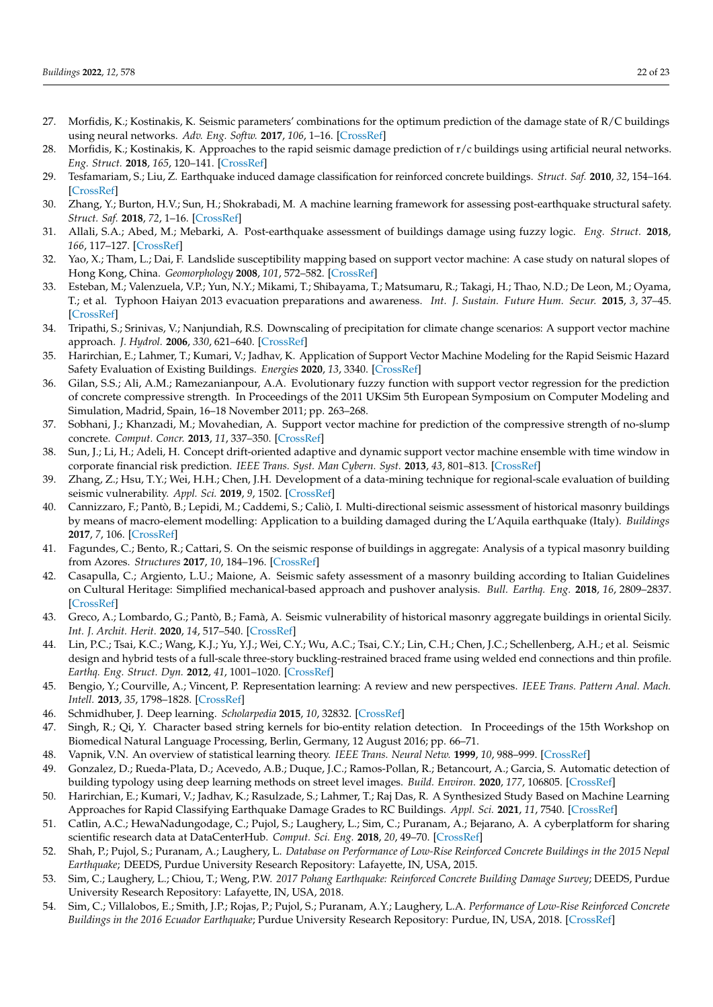- <span id="page-21-0"></span>27. Morfidis, K.; Kostinakis, K. Seismic parameters' combinations for the optimum prediction of the damage state of R/C buildings using neural networks. *Adv. Eng. Softw.* **2017**, *106*, 1–16. [\[CrossRef\]](http://dx.doi.org/10.1016/j.advengsoft.2017.01.001)
- <span id="page-21-1"></span>28. Morfidis, K.; Kostinakis, K. Approaches to the rapid seismic damage prediction of r/c buildings using artificial neural networks. *Eng. Struct.* **2018**, *165*, 120–141. [\[CrossRef\]](http://dx.doi.org/10.1016/j.engstruct.2018.03.028)
- <span id="page-21-2"></span>29. Tesfamariam, S.; Liu, Z. Earthquake induced damage classification for reinforced concrete buildings. *Struct. Saf.* **2010**, *32*, 154–164. [\[CrossRef\]](http://dx.doi.org/10.1016/j.strusafe.2009.10.002)
- <span id="page-21-3"></span>30. Zhang, Y.; Burton, H.V.; Sun, H.; Shokrabadi, M. A machine learning framework for assessing post-earthquake structural safety. *Struct. Saf.* **2018**, *72*, 1–16. [\[CrossRef\]](http://dx.doi.org/10.1016/j.strusafe.2017.12.001)
- <span id="page-21-4"></span>31. Allali, S.A.; Abed, M.; Mebarki, A. Post-earthquake assessment of buildings damage using fuzzy logic. *Eng. Struct.* **2018**, *166*, 117–127. [\[CrossRef\]](http://dx.doi.org/10.1016/j.engstruct.2018.03.055)
- <span id="page-21-5"></span>32. Yao, X.; Tham, L.; Dai, F. Landslide susceptibility mapping based on support vector machine: A case study on natural slopes of Hong Kong, China. *Geomorphology* **2008**, *101*, 572–582. [\[CrossRef\]](http://dx.doi.org/10.1016/j.geomorph.2008.02.011)
- 33. Esteban, M.; Valenzuela, V.P.; Yun, N.Y.; Mikami, T.; Shibayama, T.; Matsumaru, R.; Takagi, H.; Thao, N.D.; De Leon, M.; Oyama, T.; et al. Typhoon Haiyan 2013 evacuation preparations and awareness. *Int. J. Sustain. Future Hum. Secur.* **2015**, *3*, 37–45. [\[CrossRef\]](http://dx.doi.org/10.24910/jsustain/3.1/3745)
- 34. Tripathi, S.; Srinivas, V.; Nanjundiah, R.S. Downscaling of precipitation for climate change scenarios: A support vector machine approach. *J. Hydrol.* **2006**, *330*, 621–640. [\[CrossRef\]](http://dx.doi.org/10.1016/j.jhydrol.2006.04.030)
- <span id="page-21-6"></span>35. Harirchian, E.; Lahmer, T.; Kumari, V.; Jadhav, K. Application of Support Vector Machine Modeling for the Rapid Seismic Hazard Safety Evaluation of Existing Buildings. *Energies* **2020**, *13*, 3340. [\[CrossRef\]](http://dx.doi.org/10.3390/en13133340)
- <span id="page-21-7"></span>36. Gilan, S.S.; Ali, A.M.; Ramezanianpour, A.A. Evolutionary fuzzy function with support vector regression for the prediction of concrete compressive strength. In Proceedings of the 2011 UKSim 5th European Symposium on Computer Modeling and Simulation, Madrid, Spain, 16–18 November 2011; pp. 263–268.
- <span id="page-21-8"></span>37. Sobhani, J.; Khanzadi, M.; Movahedian, A. Support vector machine for prediction of the compressive strength of no-slump concrete. *Comput. Concr.* **2013**, *11*, 337–350. [\[CrossRef\]](http://dx.doi.org/10.12989/cac.2013.11.4.337)
- <span id="page-21-9"></span>38. Sun, J.; Li, H.; Adeli, H. Concept drift-oriented adaptive and dynamic support vector machine ensemble with time window in corporate financial risk prediction. *IEEE Trans. Syst. Man Cybern. Syst.* **2013**, *43*, 801–813. [\[CrossRef\]](http://dx.doi.org/10.1109/TSMCA.2012.2224338)
- <span id="page-21-10"></span>39. Zhang, Z.; Hsu, T.Y.; Wei, H.H.; Chen, J.H. Development of a data-mining technique for regional-scale evaluation of building seismic vulnerability. *Appl. Sci.* **2019**, *9*, 1502. [\[CrossRef\]](http://dx.doi.org/10.3390/app9071502)
- <span id="page-21-11"></span>40. Cannizzaro, F.; Pantò, B.; Lepidi, M.; Caddemi, S.; Caliò, I. Multi-directional seismic assessment of historical masonry buildings by means of macro-element modelling: Application to a building damaged during the L'Aquila earthquake (Italy). *Buildings* **2017**, *7*, 106. [\[CrossRef\]](http://dx.doi.org/10.3390/buildings7040106)
- 41. Fagundes, C.; Bento, R.; Cattari, S. On the seismic response of buildings in aggregate: Analysis of a typical masonry building from Azores. *Structures* **2017**, *10*, 184–196. [\[CrossRef\]](http://dx.doi.org/10.1016/j.istruc.2016.09.010)
- 42. Casapulla, C.; Argiento, L.U.; Maione, A. Seismic safety assessment of a masonry building according to Italian Guidelines on Cultural Heritage: Simplified mechanical-based approach and pushover analysis. *Bull. Earthq. Eng.* **2018**, *16*, 2809–2837. [\[CrossRef\]](http://dx.doi.org/10.1007/s10518-017-0281-9)
- <span id="page-21-12"></span>43. Greco, A.; Lombardo, G.; Pantò, B.; Famà, A. Seismic vulnerability of historical masonry aggregate buildings in oriental Sicily. *Int. J. Archit. Herit.* **2020**, *14*, 517–540. [\[CrossRef\]](http://dx.doi.org/10.1080/15583058.2018.1553075)
- <span id="page-21-13"></span>44. Lin, P.C.; Tsai, K.C.; Wang, K.J.; Yu, Y.J.; Wei, C.Y.; Wu, A.C.; Tsai, C.Y.; Lin, C.H.; Chen, J.C.; Schellenberg, A.H.; et al. Seismic design and hybrid tests of a full-scale three-story buckling-restrained braced frame using welded end connections and thin profile. *Earthq. Eng. Struct. Dyn.* **2012**, *41*, 1001–1020. [\[CrossRef\]](http://dx.doi.org/10.1002/eqe.1171)
- <span id="page-21-14"></span>45. Bengio, Y.; Courville, A.; Vincent, P. Representation learning: A review and new perspectives. *IEEE Trans. Pattern Anal. Mach. Intell.* **2013**, *35*, 1798–1828. [\[CrossRef\]](http://dx.doi.org/10.1109/TPAMI.2013.50)
- <span id="page-21-15"></span>46. Schmidhuber, J. Deep learning. *Scholarpedia* **2015**, *10*, 32832. [\[CrossRef\]](http://dx.doi.org/10.4249/scholarpedia.32832)
- 47. Singh, R.; Qi, Y. Character based string kernels for bio-entity relation detection. In Proceedings of the 15th Workshop on Biomedical Natural Language Processing, Berlin, Germany, 12 August 2016; pp. 66–71.
- <span id="page-21-16"></span>48. Vapnik, V.N. An overview of statistical learning theory. *IEEE Trans. Neural Netw.* **1999**, *10*, 988–999. [\[CrossRef\]](http://dx.doi.org/10.1109/72.788640)
- <span id="page-21-17"></span>49. Gonzalez, D.; Rueda-Plata, D.; Acevedo, A.B.; Duque, J.C.; Ramos-Pollan, R.; Betancourt, A.; Garcia, S. Automatic detection of building typology using deep learning methods on street level images. *Build. Environ.* **2020**, *177*, 106805. [\[CrossRef\]](http://dx.doi.org/10.1016/j.buildenv.2020.106805)
- <span id="page-21-18"></span>50. Harirchian, E.; Kumari, V.; Jadhav, K.; Rasulzade, S.; Lahmer, T.; Raj Das, R. A Synthesized Study Based on Machine Learning Approaches for Rapid Classifying Earthquake Damage Grades to RC Buildings. *Appl. Sci.* **2021**, *11*, 7540. [\[CrossRef\]](http://dx.doi.org/10.3390/app11167540)
- <span id="page-21-19"></span>51. Catlin, A.C.; HewaNadungodage, C.; Pujol, S.; Laughery, L.; Sim, C.; Puranam, A.; Bejarano, A. A cyberplatform for sharing scientific research data at DataCenterHub. *Comput. Sci. Eng.* **2018**, *20*, 49–70. [\[CrossRef\]](http://dx.doi.org/10.1109/MCSE.2017.3301213)
- <span id="page-21-20"></span>52. Shah, P.; Pujol, S.; Puranam, A.; Laughery, L. *Database on Performance of Low-Rise Reinforced Concrete Buildings in the 2015 Nepal Earthquake*; DEEDS, Purdue University Research Repository: Lafayette, IN, USA, 2015.
- <span id="page-21-21"></span>53. Sim, C.; Laughery, L.; Chiou, T.; Weng, P.W. *2017 Pohang Earthquake: Reinforced Concrete Building Damage Survey*; DEEDS, Purdue University Research Repository: Lafayette, IN, USA, 2018.
- 54. Sim, C.; Villalobos, E.; Smith, J.P.; Rojas, P.; Pujol, S.; Puranam, A.Y.; Laughery, L.A. *Performance of Low-Rise Reinforced Concrete Buildings in the 2016 Ecuador Earthquake*; Purdue University Research Repository: Purdue, IN, USA, 2018. [\[CrossRef\]](http://dx.doi.org/10.4231/R7ZC8111)